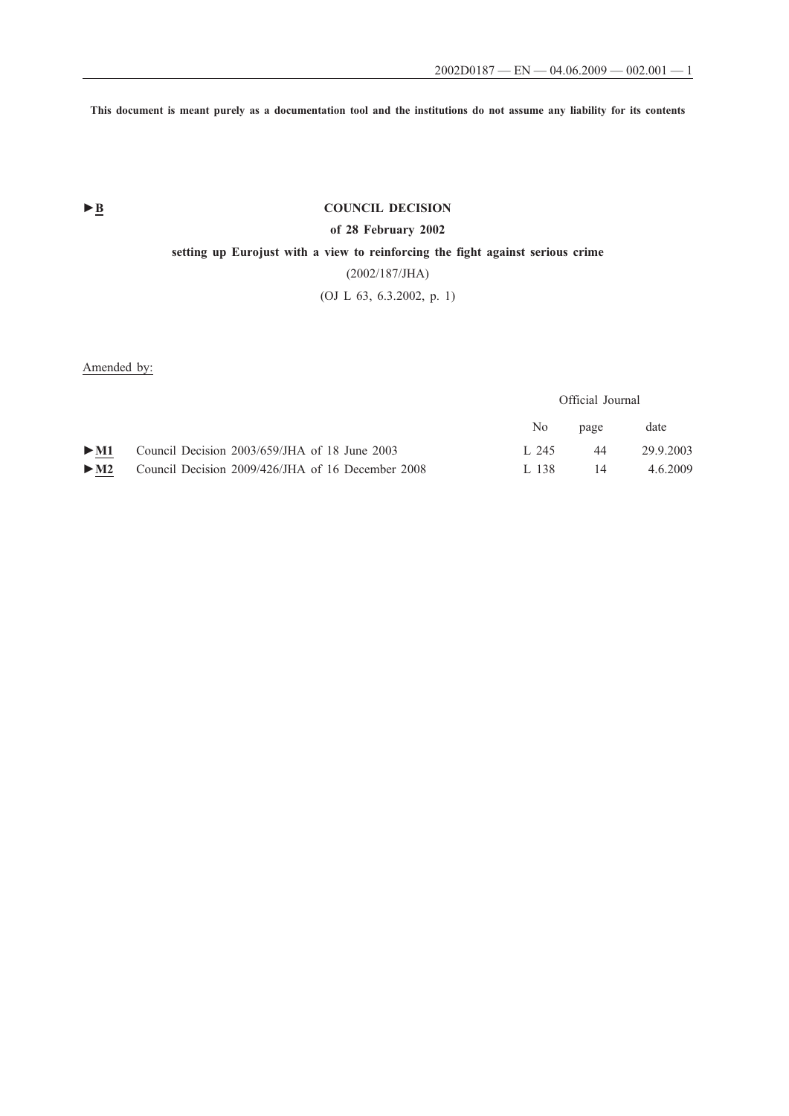**This document is meant purely as a documentation tool and the institutions do not assume any liability for its contents**

# ► <u>B</u> COUNCIL DECISION

# **of 28 February 2002**

# **setting up Eurojust with a view to reinforcing the fight against serious crime**

# (2002/187/JHA)

# (OJ L 63, 6.3.2002, p. 1)

Amended by:

# Official Journal

|                                                                            | No.   | page | date      |
|----------------------------------------------------------------------------|-------|------|-----------|
| $\triangleright$ M1 Council Decision 2003/659/JHA of 18 June 2003          | 1.245 | 44   | 29.9.2003 |
| $\blacktriangleright$ M2 Council Decision 2009/426/JHA of 16 December 2008 | L 138 | 14   | 4.6.2009  |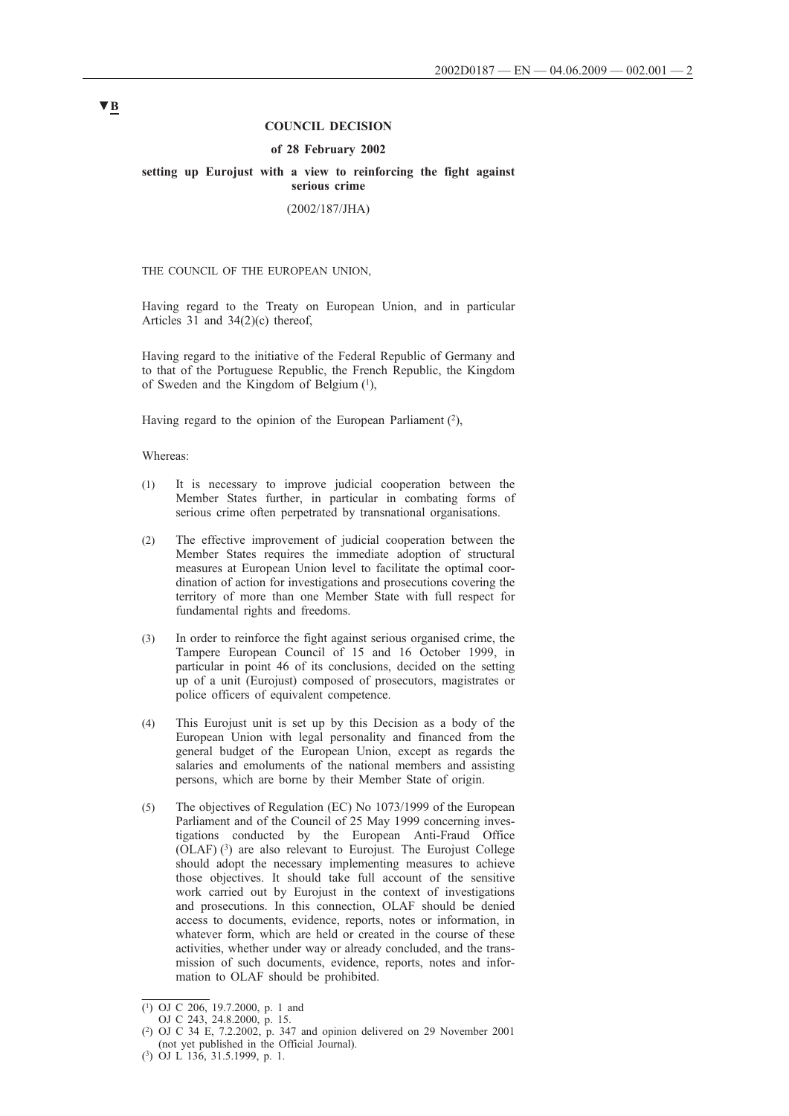# **COUNCIL DECISION**

#### **of 28 February 2002**

### **setting up Eurojust with a view to reinforcing the fight against serious crime**

### (2002/187/JHA)

THE COUNCIL OF THE EUROPEAN UNION,

Having regard to the Treaty on European Union, and in particular Articles 31 and 34(2)(c) thereof,

Having regard to the initiative of the Federal Republic of Germany and to that of the Portuguese Republic, the French Republic, the Kingdom of Sweden and the Kingdom of Belgium (1),

Having regard to the opinion of the European Parliament  $(2)$ ,

### Whereas:

- (1) It is necessary to improve judicial cooperation between the Member States further, in particular in combating forms of serious crime often perpetrated by transnational organisations.
- (2) The effective improvement of judicial cooperation between the Member States requires the immediate adoption of structural measures at European Union level to facilitate the optimal coordination of action for investigations and prosecutions covering the territory of more than one Member State with full respect for fundamental rights and freedoms.
- (3) In order to reinforce the fight against serious organised crime, the Tampere European Council of 15 and 16 October 1999, in particular in point 46 of its conclusions, decided on the setting up of a unit (Eurojust) composed of prosecutors, magistrates or police officers of equivalent competence.
- (4) This Eurojust unit is set up by this Decision as a body of the European Union with legal personality and financed from the general budget of the European Union, except as regards the salaries and emoluments of the national members and assisting persons, which are borne by their Member State of origin.
- (5) The objectives of Regulation (EC) No 1073/1999 of the European Parliament and of the Council of 25 May 1999 concerning investigations conducted by the European Anti-Fraud Office  $(OLAF)$  (3) are also relevant to Eurojust. The Eurojust College should adopt the necessary implementing measures to achieve those objectives. It should take full account of the sensitive work carried out by Eurojust in the context of investigations and prosecutions. In this connection, OLAF should be denied access to documents, evidence, reports, notes or information, in whatever form, which are held or created in the course of these activities, whether under way or already concluded, and the transmission of such documents, evidence, reports, notes and information to OLAF should be prohibited.

<sup>(1)</sup> OJ C 206, 19.7.2000, p. 1 and

OJ C 243, 24.8.2000, p. 15.

<sup>(2)</sup> OJ C 34 E, 7.2.2002, p. 347 and opinion delivered on 29 November 2001

<sup>(</sup>not yet published in the Official Journal).

<sup>(3)</sup> OJ L 136, 31.5.1999, p. 1.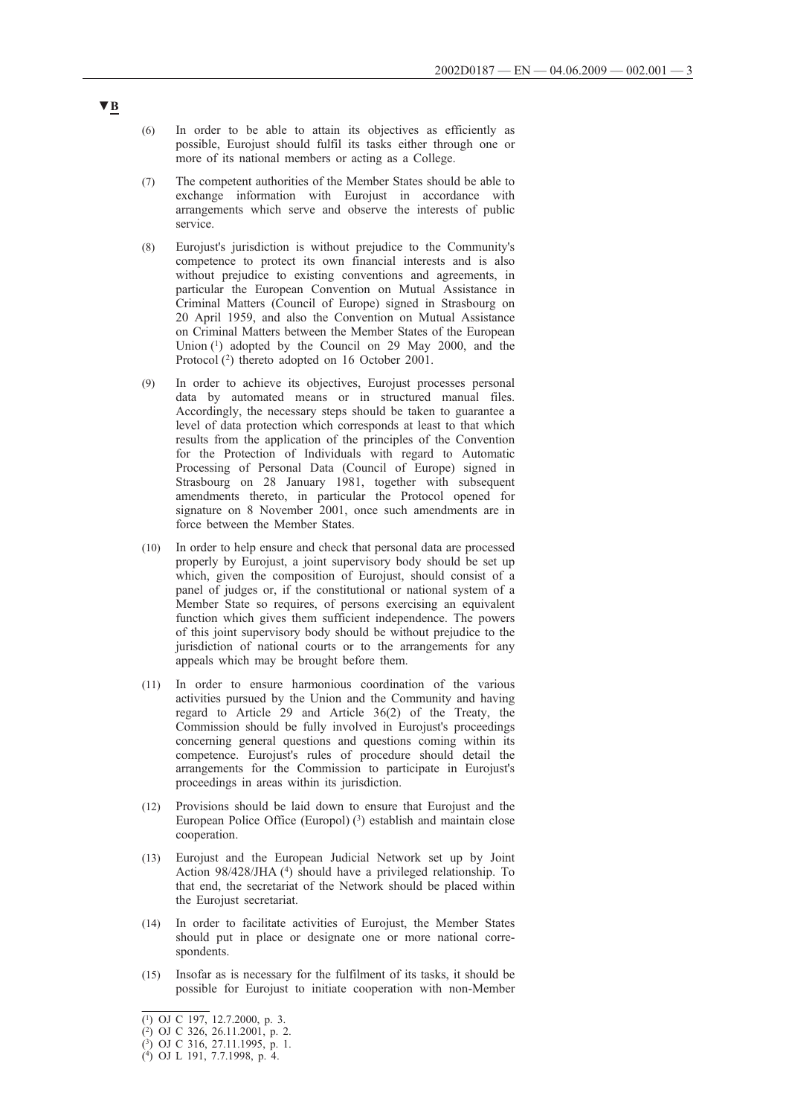- (6) In order to be able to attain its objectives as efficiently as possible, Eurojust should fulfil its tasks either through one or more of its national members or acting as a College.
- (7) The competent authorities of the Member States should be able to exchange information with Eurojust in accordance with arrangements which serve and observe the interests of public service.
- (8) Eurojust's jurisdiction is without prejudice to the Community's competence to protect its own financial interests and is also without prejudice to existing conventions and agreements, in particular the European Convention on Mutual Assistance in Criminal Matters (Council of Europe) signed in Strasbourg on 20 April 1959, and also the Convention on Mutual Assistance on Criminal Matters between the Member States of the European Union (1) adopted by the Council on 29 May 2000, and the Protocol (2) thereto adopted on 16 October 2001.
- (9) In order to achieve its objectives, Eurojust processes personal data by automated means or in structured manual files. Accordingly, the necessary steps should be taken to guarantee a level of data protection which corresponds at least to that which results from the application of the principles of the Convention for the Protection of Individuals with regard to Automatic Processing of Personal Data (Council of Europe) signed in Strasbourg on 28 January 1981, together with subsequent amendments thereto, in particular the Protocol opened for signature on 8 November 2001, once such amendments are in force between the Member States.
- (10) In order to help ensure and check that personal data are processed properly by Eurojust, a joint supervisory body should be set up which, given the composition of Eurojust, should consist of a panel of judges or, if the constitutional or national system of a Member State so requires, of persons exercising an equivalent function which gives them sufficient independence. The powers of this joint supervisory body should be without prejudice to the jurisdiction of national courts or to the arrangements for any appeals which may be brought before them.
- (11) In order to ensure harmonious coordination of the various activities pursued by the Union and the Community and having regard to Article 29 and Article 36(2) of the Treaty, the Commission should be fully involved in Eurojust's proceedings concerning general questions and questions coming within its competence. Eurojust's rules of procedure should detail the arrangements for the Commission to participate in Eurojust's proceedings in areas within its jurisdiction.
- (12) Provisions should be laid down to ensure that Eurojust and the European Police Office (Europol) (3) establish and maintain close cooperation.
- (13) Eurojust and the European Judicial Network set up by Joint Action 98/428/JHA (4) should have a privileged relationship. To that end, the secretariat of the Network should be placed within the Eurojust secretariat.
- (14) In order to facilitate activities of Eurojust, the Member States should put in place or designate one or more national correspondents.
- (15) Insofar as is necessary for the fulfilment of its tasks, it should be possible for Eurojust to initiate cooperation with non-Member

<sup>(1)</sup> OJ C 197, 12.7.2000, p. 3.

<sup>(2)</sup> OJ C 326, 26.11.2001, p. 2.

<sup>(3)</sup> OJ C 316, 27.11.1995, p. 1.

<sup>(4)</sup> OJ L 191, 7.7.1998, p. 4.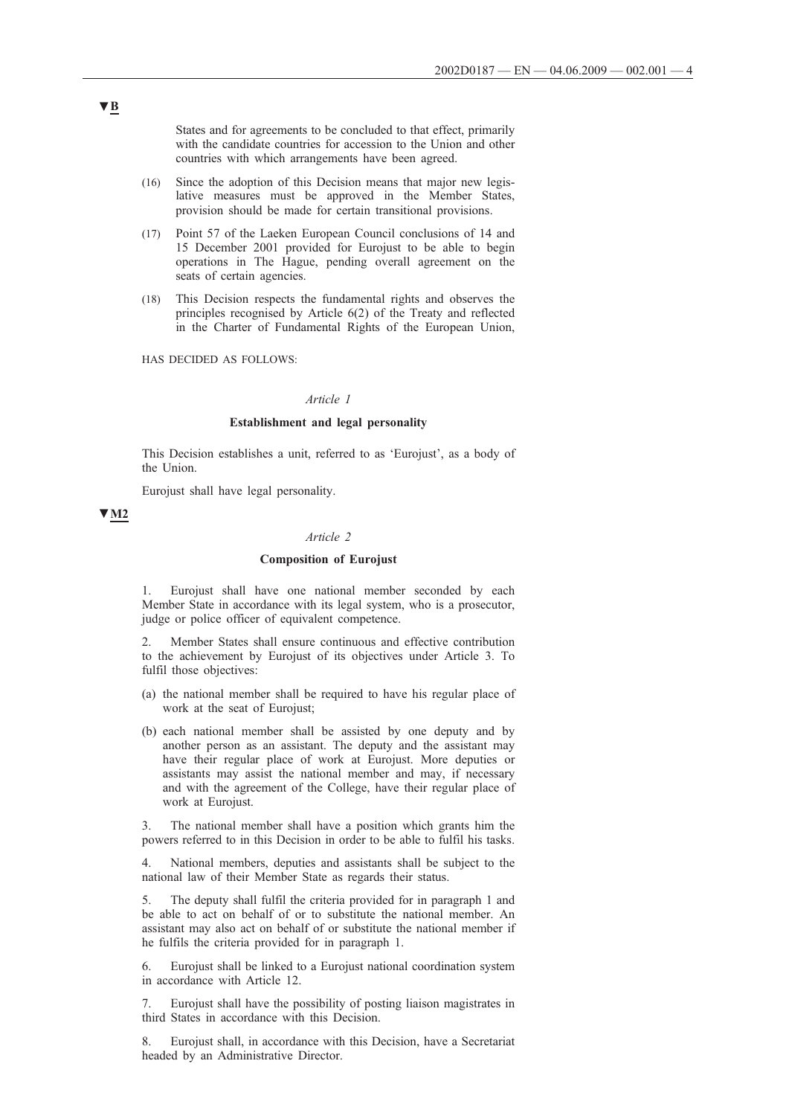States and for agreements to be concluded to that effect, primarily with the candidate countries for accession to the Union and other countries with which arrangements have been agreed.

- (16) Since the adoption of this Decision means that major new legislative measures must be approved in the Member States, provision should be made for certain transitional provisions.
- (17) Point 57 of the Laeken European Council conclusions of 14 and 15 December 2001 provided for Eurojust to be able to begin operations in The Hague, pending overall agreement on the seats of certain agencies.
- (18) This Decision respects the fundamental rights and observes the principles recognised by Article 6(2) of the Treaty and reflected in the Charter of Fundamental Rights of the European Union,

HAS DECIDED AS FOLLOWS:

# *Article 1*

### **Establishment and legal personality**

This Decision establishes a unit, referred to as 'Eurojust', as a body of the Union.

Eurojust shall have legal personality.

# **▼M2**

### *Article 2*

### **Composition of Eurojust**

1. Eurojust shall have one national member seconded by each Member State in accordance with its legal system, who is a prosecutor, judge or police officer of equivalent competence.

2. Member States shall ensure continuous and effective contribution to the achievement by Eurojust of its objectives under Article 3. To fulfil those objectives:

- (a) the national member shall be required to have his regular place of work at the seat of Eurojust;
- (b) each national member shall be assisted by one deputy and by another person as an assistant. The deputy and the assistant may have their regular place of work at Eurojust. More deputies or assistants may assist the national member and may, if necessary and with the agreement of the College, have their regular place of work at Eurojust.

3. The national member shall have a position which grants him the powers referred to in this Decision in order to be able to fulfil his tasks.

4. National members, deputies and assistants shall be subject to the national law of their Member State as regards their status.

5. The deputy shall fulfil the criteria provided for in paragraph 1 and be able to act on behalf of or to substitute the national member. An assistant may also act on behalf of or substitute the national member if he fulfils the criteria provided for in paragraph 1.

6. Eurojust shall be linked to a Eurojust national coordination system in accordance with Article 12.

7. Eurojust shall have the possibility of posting liaison magistrates in third States in accordance with this Decision.

8. Eurojust shall, in accordance with this Decision, have a Secretariat headed by an Administrative Director.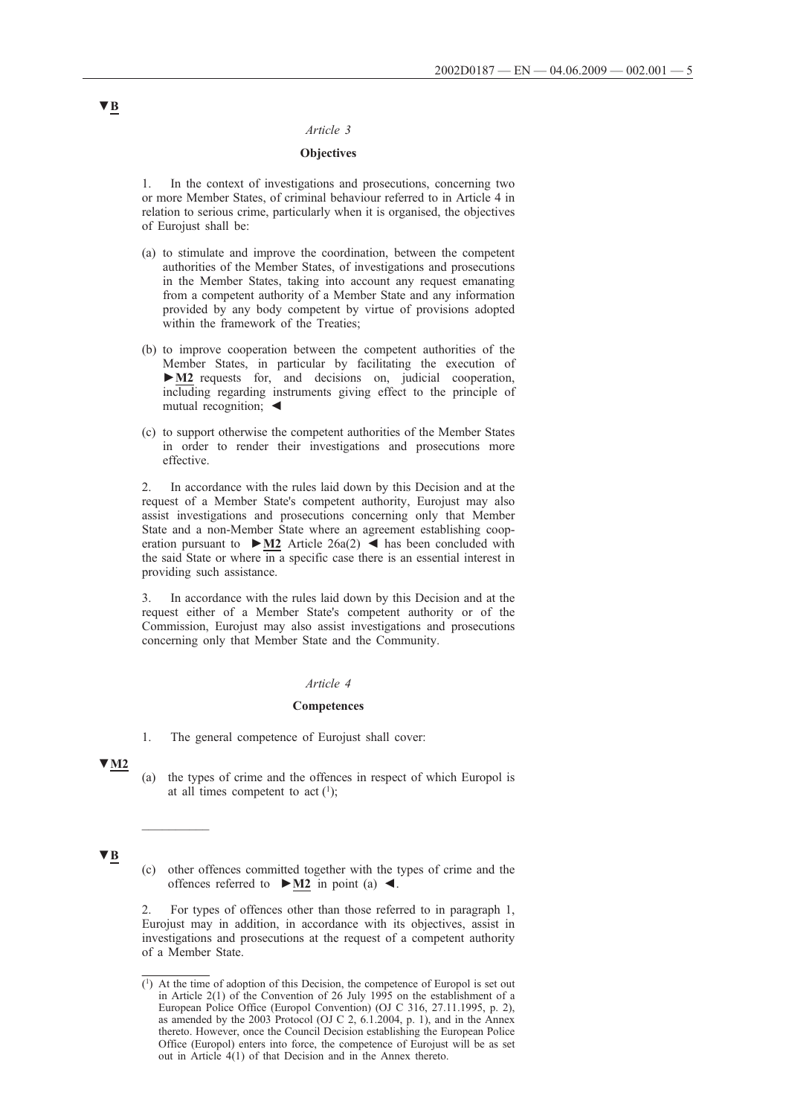# **Objectives**

1. In the context of investigations and prosecutions, concerning two or more Member States, of criminal behaviour referred to in Article 4 in relation to serious crime, particularly when it is organised, the objectives of Eurojust shall be:

- (a) to stimulate and improve the coordination, between the competent authorities of the Member States, of investigations and prosecutions in the Member States, taking into account any request emanating from a competent authority of a Member State and any information provided by any body competent by virtue of provisions adopted within the framework of the Treaties;
- (b) to improve cooperation between the competent authorities of the Member States, in particular by facilitating the execution of **►M2** requests for, and decisions on, judicial cooperation, including regarding instruments giving effect to the principle of mutual recognition; ◄
- (c) to support otherwise the competent authorities of the Member States in order to render their investigations and prosecutions more effective.

2. In accordance with the rules laid down by this Decision and at the request of a Member State's competent authority, Eurojust may also assist investigations and prosecutions concerning only that Member State and a non-Member State where an agreement establishing cooperation pursuant to **►M2** Article 26a(2) ◄ has been concluded with the said State or where  $\overline{in}$  a specific case there is an essential interest in providing such assistance.

3. In accordance with the rules laid down by this Decision and at the request either of a Member State's competent authority or of the Commission, Eurojust may also assist investigations and prosecutions concerning only that Member State and the Community.

#### *Article 4*

#### **Competences**

- 1. The general competence of Eurojust shall cover:
- **▼M2**
- (a) the types of crime and the offences in respect of which Europol is at all times competent to act  $(1)$ ;

### **▼B**

 $\overline{\phantom{a}}$ 

(c) other offences committed together with the types of crime and the offences referred to **►M2** in point (a) ◄.

2. For types of offences other than those referred to in paragraph 1, Eurojust may in addition, in accordance with its objectives, assist in investigations and prosecutions at the request of a competent authority of a Member State.

<sup>(1)</sup> At the time of adoption of this Decision, the competence of Europol is set out in Article 2(1) of the Convention of 26 July 1995 on the establishment of a European Police Office (Europol Convention) (OJ C 316, 27.11.1995, p. 2), as amended by the 2003 Protocol (OJ C 2, 6.1.2004, p. 1), and in the Annex thereto. However, once the Council Decision establishing the European Police Office (Europol) enters into force, the competence of Eurojust will be as set out in Article 4(1) of that Decision and in the Annex thereto.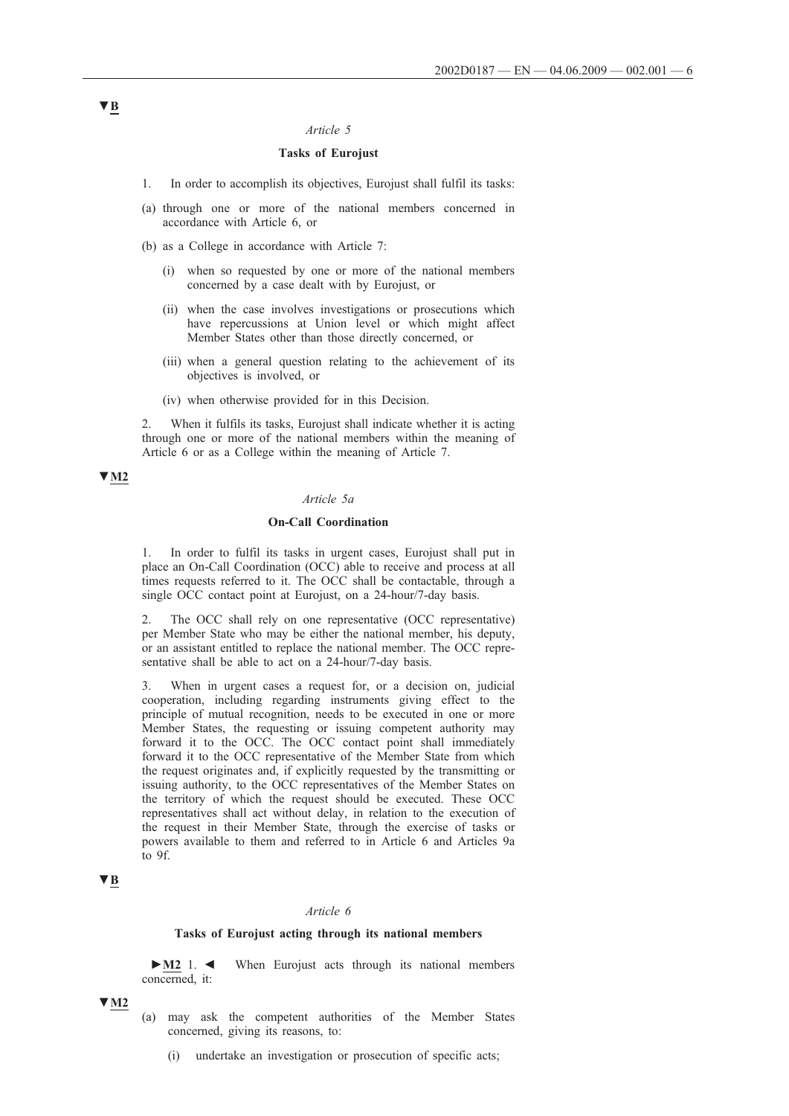# **Tasks of Eurojust**

- 1. In order to accomplish its objectives, Eurojust shall fulfil its tasks:
- (a) through one or more of the national members concerned in accordance with Article 6, or
- (b) as a College in accordance with Article 7:
	- (i) when so requested by one or more of the national members concerned by a case dealt with by Eurojust, or
	- (ii) when the case involves investigations or prosecutions which have repercussions at Union level or which might affect Member States other than those directly concerned, or
	- (iii) when a general question relating to the achievement of its objectives is involved, or
	- (iv) when otherwise provided for in this Decision.

2. When it fulfils its tasks, Eurojust shall indicate whether it is acting through one or more of the national members within the meaning of Article 6 or as a College within the meaning of Article 7.

# **▼M2**

# *Article 5a*

### **On-Call Coordination**

1. In order to fulfil its tasks in urgent cases, Eurojust shall put in place an On-Call Coordination (OCC) able to receive and process at all times requests referred to it. The OCC shall be contactable, through a single OCC contact point at Eurojust, on a 24-hour/7-day basis.

2. The OCC shall rely on one representative (OCC representative) per Member State who may be either the national member, his deputy, or an assistant entitled to replace the national member. The OCC representative shall be able to act on a 24-hour/7-day basis.

3. When in urgent cases a request for, or a decision on, judicial cooperation, including regarding instruments giving effect to the principle of mutual recognition, needs to be executed in one or more Member States, the requesting or issuing competent authority may forward it to the OCC. The OCC contact point shall immediately forward it to the OCC representative of the Member State from which the request originates and, if explicitly requested by the transmitting or issuing authority, to the OCC representatives of the Member States on the territory of which the request should be executed. These OCC representatives shall act without delay, in relation to the execution of the request in their Member State, through the exercise of tasks or powers available to them and referred to in Article 6 and Articles 9a to 9f.

# **▼B**

### *Article 6*

# **Tasks of Eurojust acting through its national members**

**►M2** 1. ◄ When Eurojust acts through its national members concerned, it:

**▼M2**

- (a) may ask the competent authorities of the Member States concerned, giving its reasons, to:
	- (i) undertake an investigation or prosecution of specific acts;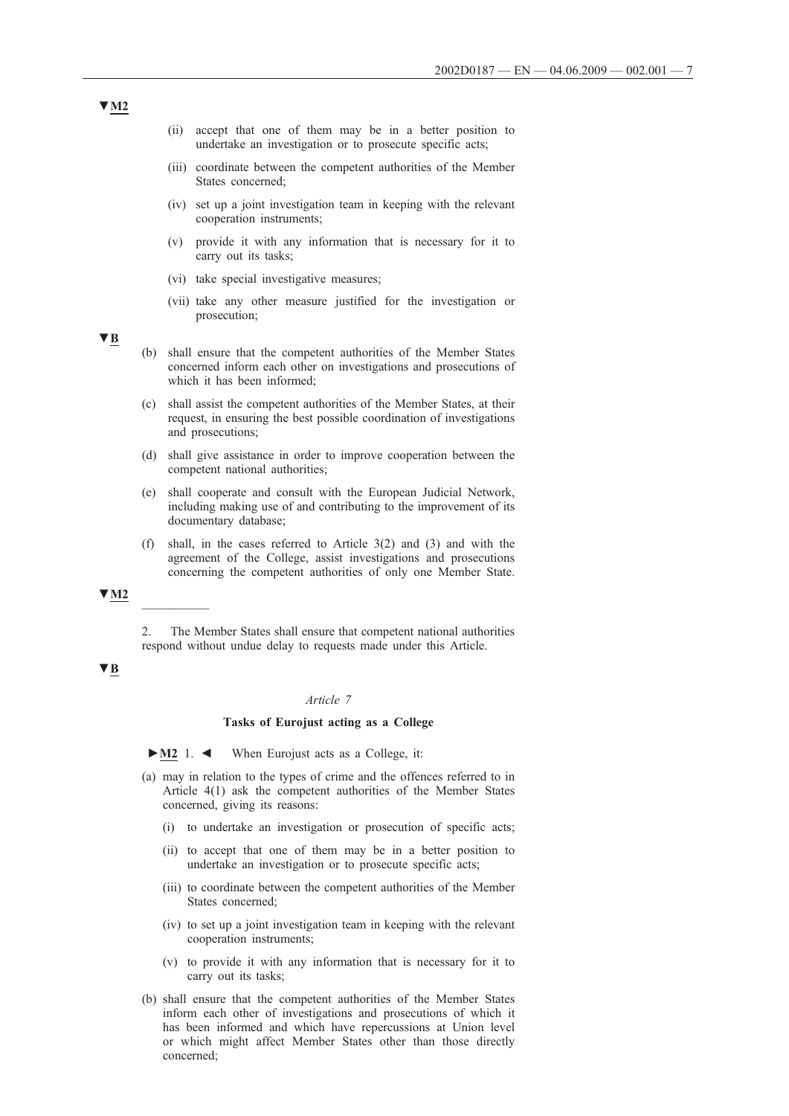- (ii) accept that one of them may be in a better position to undertake an investigation or to prosecute specific acts;
- (iii) coordinate between the competent authorities of the Member States concerned;
- (iv) set up a joint investigation team in keeping with the relevant cooperation instruments;
- (v) provide it with any information that is necessary for it to carry out its tasks;
- (vi) take special investigative measures;
- (vii) take any other measure justified for the investigation or prosecution;

**▼B**

- (b) shall ensure that the competent authorities of the Member States concerned inform each other on investigations and prosecutions of which it has been informed;
- (c) shall assist the competent authorities of the Member States, at their request, in ensuring the best possible coordination of investigations and prosecutions;
- (d) shall give assistance in order to improve cooperation between the competent national authorities;
- (e) shall cooperate and consult with the European Judicial Network, including making use of and contributing to the improvement of its documentary database;
- (f) shall, in the cases referred to Article 3(2) and (3) and with the agreement of the College, assist investigations and prosecutions concerning the competent authorities of only one Member State.

### **▼M2** \_\_\_\_\_\_\_\_\_\_

2. The Member States shall ensure that competent national authorities respond without undue delay to requests made under this Article.

### **▼B**

#### *Article 7*

### **Tasks of Eurojust acting as a College**

**►M2** 1. ◄ When Eurojust acts as a College, it:

- (a) may in relation to the types of crime and the offences referred to in Article 4(1) ask the competent authorities of the Member States concerned, giving its reasons:
	- (i) to undertake an investigation or prosecution of specific acts;
	- (ii) to accept that one of them may be in a better position to undertake an investigation or to prosecute specific acts;
	- (iii) to coordinate between the competent authorities of the Member States concerned;
	- (iv) to set up a joint investigation team in keeping with the relevant cooperation instruments;
	- (v) to provide it with any information that is necessary for it to carry out its tasks;
- (b) shall ensure that the competent authorities of the Member States inform each other of investigations and prosecutions of which it has been informed and which have repercussions at Union level or which might affect Member States other than those directly concerned;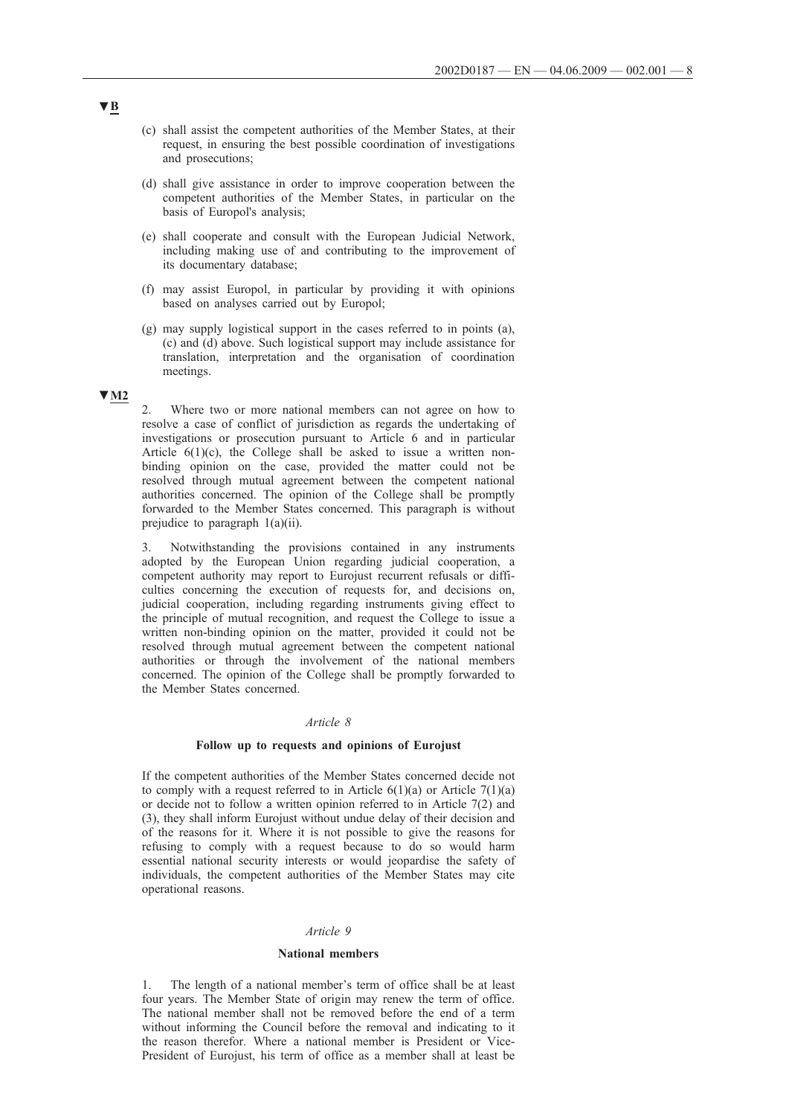- (c) shall assist the competent authorities of the Member States, at their request, in ensuring the best possible coordination of investigations and prosecutions;
- (d) shall give assistance in order to improve cooperation between the competent authorities of the Member States, in particular on the basis of Europol's analysis;
- (e) shall cooperate and consult with the European Judicial Network, including making use of and contributing to the improvement of its documentary database;
- (f) may assist Europol, in particular by providing it with opinions based on analyses carried out by Europol;
- (g) may supply logistical support in the cases referred to in points (a), (c) and (d) above. Such logistical support may include assistance for translation, interpretation and the organisation of coordination meetings.

# **▼M2**

2. Where two or more national members can not agree on how to resolve a case of conflict of jurisdiction as regards the undertaking of investigations or prosecution pursuant to Article 6 and in particular Article 6(1)(c), the College shall be asked to issue a written nonbinding opinion on the case, provided the matter could not be resolved through mutual agreement between the competent national authorities concerned. The opinion of the College shall be promptly forwarded to the Member States concerned. This paragraph is without prejudice to paragraph 1(a)(ii).

3. Notwithstanding the provisions contained in any instruments adopted by the European Union regarding judicial cooperation, a competent authority may report to Eurojust recurrent refusals or difficulties concerning the execution of requests for, and decisions on, judicial cooperation, including regarding instruments giving effect to the principle of mutual recognition, and request the College to issue a written non-binding opinion on the matter, provided it could not be resolved through mutual agreement between the competent national authorities or through the involvement of the national members concerned. The opinion of the College shall be promptly forwarded to the Member States concerned.

### *Article 8*

### **Follow up to requests and opinions of Eurojust**

If the competent authorities of the Member States concerned decide not to comply with a request referred to in Article  $6(1)(a)$  or Article  $7(1)(a)$ or decide not to follow a written opinion referred to in Article 7(2) and (3), they shall inform Eurojust without undue delay of their decision and of the reasons for it. Where it is not possible to give the reasons for refusing to comply with a request because to do so would harm essential national security interests or would jeopardise the safety of individuals, the competent authorities of the Member States may cite operational reasons.

# *Article 9*

### **National members**

1. The length of a national member's term of office shall be at least four years. The Member State of origin may renew the term of office. The national member shall not be removed before the end of a term without informing the Council before the removal and indicating to it the reason therefor. Where a national member is President or Vice-President of Eurojust, his term of office as a member shall at least be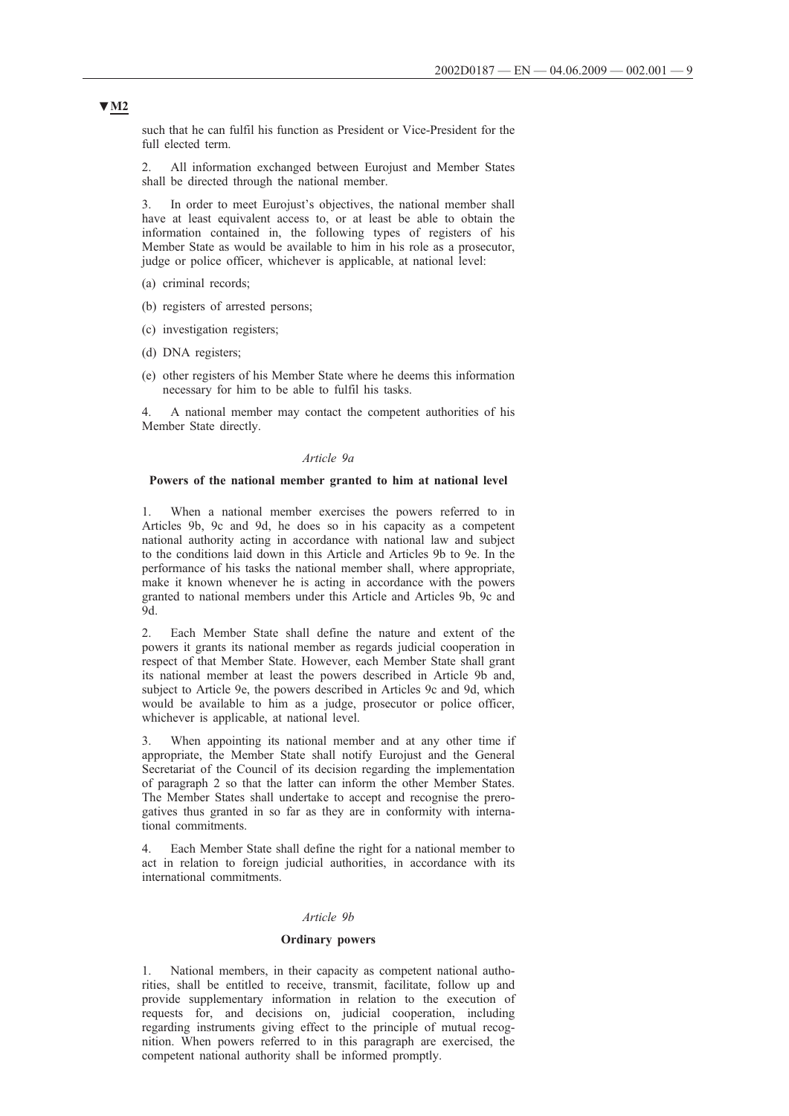such that he can fulfil his function as President or Vice-President for the full elected term.

2. All information exchanged between Eurojust and Member States shall be directed through the national member.

In order to meet Eurojust's objectives, the national member shall have at least equivalent access to, or at least be able to obtain the information contained in, the following types of registers of his Member State as would be available to him in his role as a prosecutor, judge or police officer, whichever is applicable, at national level:

(a) criminal records;

(b) registers of arrested persons;

(c) investigation registers;

(d) DNA registers;

(e) other registers of his Member State where he deems this information necessary for him to be able to fulfil his tasks.

4. A national member may contact the competent authorities of his Member State directly.

### *Article 9a*

### **Powers of the national member granted to him at national level**

1. When a national member exercises the powers referred to in Articles 9b, 9c and 9d, he does so in his capacity as a competent national authority acting in accordance with national law and subject to the conditions laid down in this Article and Articles 9b to 9e. In the performance of his tasks the national member shall, where appropriate, make it known whenever he is acting in accordance with the powers granted to national members under this Article and Articles 9b, 9c and 9d.

2. Each Member State shall define the nature and extent of the powers it grants its national member as regards judicial cooperation in respect of that Member State. However, each Member State shall grant its national member at least the powers described in Article 9b and, subject to Article 9e, the powers described in Articles 9c and 9d, which would be available to him as a judge, prosecutor or police officer, whichever is applicable, at national level.

3. When appointing its national member and at any other time if appropriate, the Member State shall notify Eurojust and the General Secretariat of the Council of its decision regarding the implementation of paragraph 2 so that the latter can inform the other Member States. The Member States shall undertake to accept and recognise the prerogatives thus granted in so far as they are in conformity with international commitments.

4. Each Member State shall define the right for a national member to act in relation to foreign judicial authorities, in accordance with its international commitments.

### *Article 9b*

#### **Ordinary powers**

National members, in their capacity as competent national authorities, shall be entitled to receive, transmit, facilitate, follow up and provide supplementary information in relation to the execution of requests for, and decisions on, judicial cooperation, including regarding instruments giving effect to the principle of mutual recognition. When powers referred to in this paragraph are exercised, the competent national authority shall be informed promptly.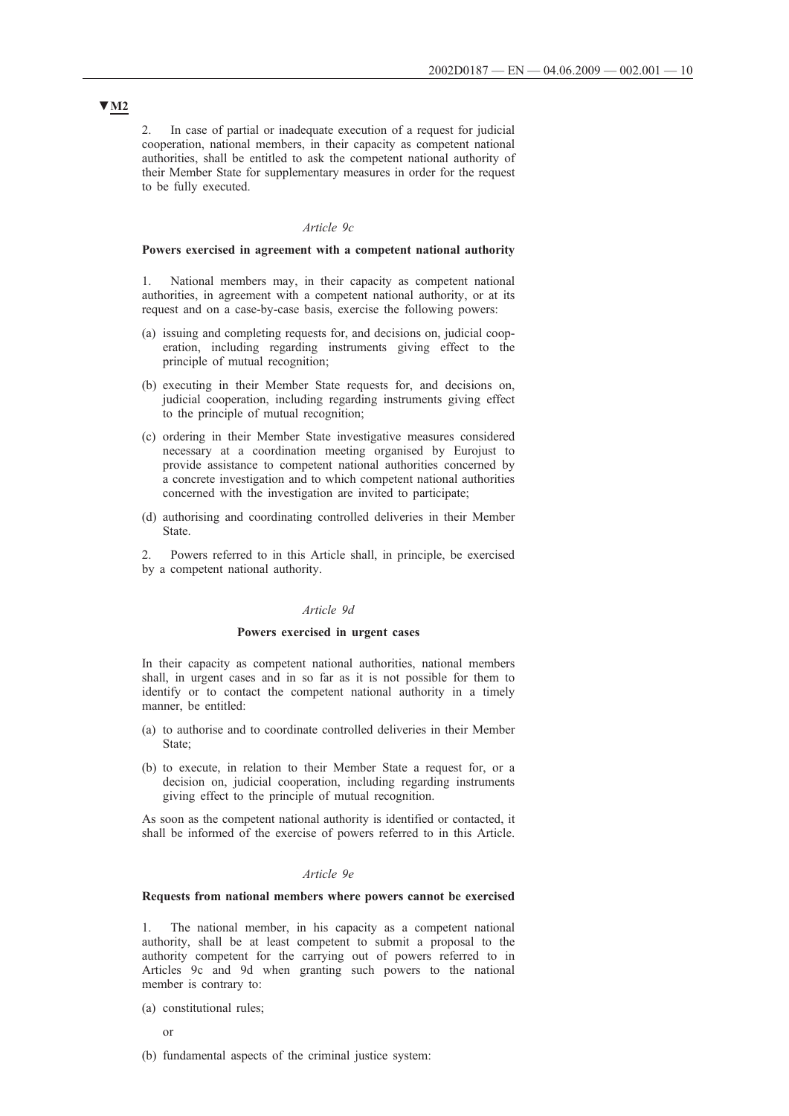2. In case of partial or inadequate execution of a request for judicial cooperation, national members, in their capacity as competent national authorities, shall be entitled to ask the competent national authority of their Member State for supplementary measures in order for the request to be fully executed.

#### *Article 9c*

#### **Powers exercised in agreement with a competent national authority**

1. National members may, in their capacity as competent national authorities, in agreement with a competent national authority, or at its request and on a case-by-case basis, exercise the following powers:

- (a) issuing and completing requests for, and decisions on, judicial cooperation, including regarding instruments giving effect to the principle of mutual recognition;
- (b) executing in their Member State requests for, and decisions on, judicial cooperation, including regarding instruments giving effect to the principle of mutual recognition;
- (c) ordering in their Member State investigative measures considered necessary at a coordination meeting organised by Eurojust to provide assistance to competent national authorities concerned by a concrete investigation and to which competent national authorities concerned with the investigation are invited to participate;
- (d) authorising and coordinating controlled deliveries in their Member State.
- 2. Powers referred to in this Article shall, in principle, be exercised by a competent national authority.

#### *Article 9d*

### **Powers exercised in urgent cases**

In their capacity as competent national authorities, national members shall, in urgent cases and in so far as it is not possible for them to identify or to contact the competent national authority in a timely manner, be entitled:

- (a) to authorise and to coordinate controlled deliveries in their Member State;
- (b) to execute, in relation to their Member State a request for, or a decision on, judicial cooperation, including regarding instruments giving effect to the principle of mutual recognition.

As soon as the competent national authority is identified or contacted, it shall be informed of the exercise of powers referred to in this Article.

#### *Article 9e*

### **Requests from national members where powers cannot be exercised**

1. The national member, in his capacity as a competent national authority, shall be at least competent to submit a proposal to the authority competent for the carrying out of powers referred to in Articles 9c and 9d when granting such powers to the national member is contrary to:

(a) constitutional rules;

or

(b) fundamental aspects of the criminal justice system: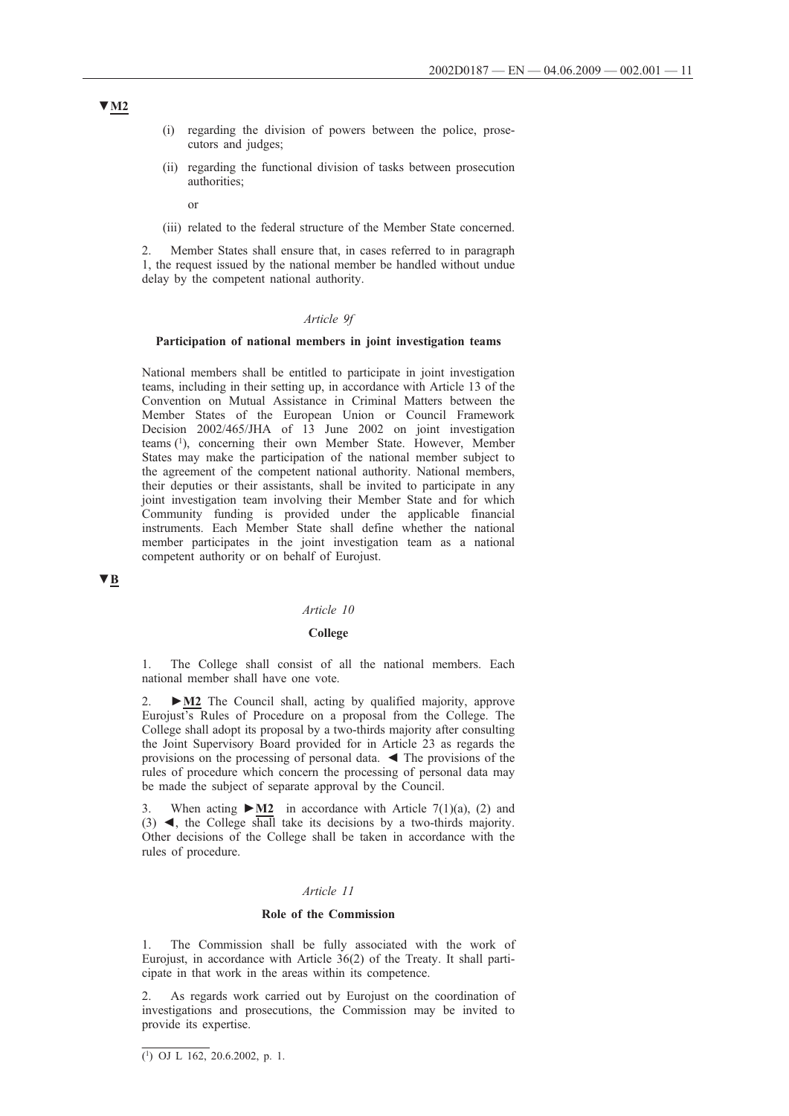- (i) regarding the division of powers between the police, prosecutors and judges;
- (ii) regarding the functional division of tasks between prosecution authorities;

or

(iii) related to the federal structure of the Member State concerned.

2. Member States shall ensure that, in cases referred to in paragraph 1, the request issued by the national member be handled without undue delay by the competent national authority.

#### *Article 9f*

### **Participation of national members in joint investigation teams**

National members shall be entitled to participate in joint investigation teams, including in their setting up, in accordance with Article 13 of the Convention on Mutual Assistance in Criminal Matters between the Member States of the European Union or Council Framework Decision 2002/465/JHA of 13 June 2002 on joint investigation teams (1), concerning their own Member State. However, Member States may make the participation of the national member subject to the agreement of the competent national authority. National members, their deputies or their assistants, shall be invited to participate in any joint investigation team involving their Member State and for which Community funding is provided under the applicable financial instruments. Each Member State shall define whether the national member participates in the joint investigation team as a national competent authority or on behalf of Eurojust.

# **▼B**

# *Article 10*

### **College**

1. The College shall consist of all the national members. Each national member shall have one vote.

2. **►M2** The Council shall, acting by qualified majority, approve Eurojust's Rules of Procedure on a proposal from the College. The College shall adopt its proposal by a two-thirds majority after consulting the Joint Supervisory Board provided for in Article 23 as regards the provisions on the processing of personal data.  $\blacktriangleleft$  The provisions of the rules of procedure which concern the processing of personal data may be made the subject of separate approval by the Council.

When acting  $\blacktriangleright M2$  in accordance with Article 7(1)(a), (2) and (3)  $\blacktriangleleft$ , the College shall take its decisions by a two-thirds majority. Other decisions of the College shall be taken in accordance with the rules of procedure.

# *Article 11*

### **Role of the Commission**

1. The Commission shall be fully associated with the work of Eurojust, in accordance with Article 36(2) of the Treaty. It shall participate in that work in the areas within its competence.

2. As regards work carried out by Eurojust on the coordination of investigations and prosecutions, the Commission may be invited to provide its expertise.

 $\overline{(^1)}$  OJ L 162, 20.6.2002, p. 1.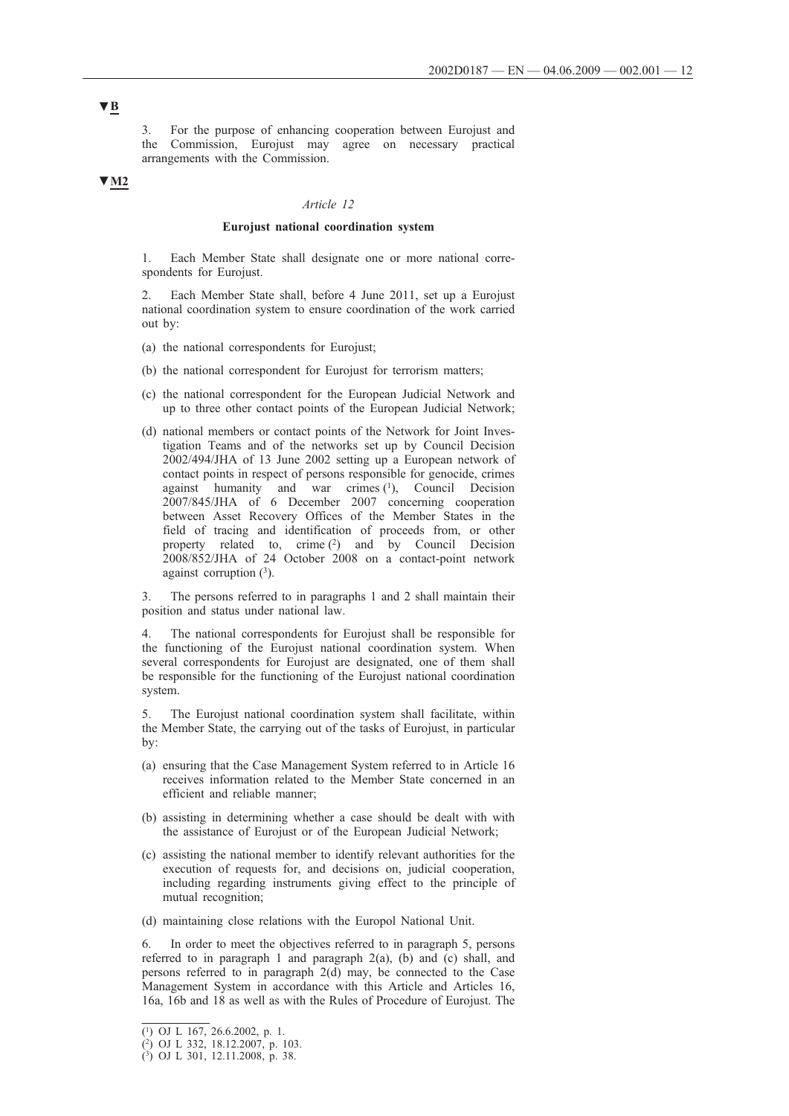3. For the purpose of enhancing cooperation between Eurojust and the Commission, Eurojust may agree on necessary practical arrangements with the Commission.

# *Article 12*

#### **Eurojust national coordination system**

1. Each Member State shall designate one or more national correspondents for Eurojust.

2. Each Member State shall, before 4 June 2011, set up a Eurojust national coordination system to ensure coordination of the work carried out by:

- (a) the national correspondents for Eurojust;
- (b) the national correspondent for Eurojust for terrorism matters;
- (c) the national correspondent for the European Judicial Network and up to three other contact points of the European Judicial Network;
- (d) national members or contact points of the Network for Joint Investigation Teams and of the networks set up by Council Decision 2002/494/JHA of 13 June 2002 setting up a European network of contact points in respect of persons responsible for genocide, crimes against humanity and war crimes (1), Council Decision 2007/845/JHA of 6 December 2007 concerning cooperation between Asset Recovery Offices of the Member States in the field of tracing and identification of proceeds from, or other property related to, crime  $(2)$  and by Council Decision 2008/852/JHA of 24 October 2008 on a contact-point network against corruption  $(3)$ .

3. The persons referred to in paragraphs 1 and 2 shall maintain their position and status under national law.

4. The national correspondents for Eurojust shall be responsible for the functioning of the Eurojust national coordination system. When several correspondents for Eurojust are designated, one of them shall be responsible for the functioning of the Eurojust national coordination system.

5. The Eurojust national coordination system shall facilitate, within the Member State, the carrying out of the tasks of Eurojust, in particular by:

- (a) ensuring that the Case Management System referred to in Article 16 receives information related to the Member State concerned in an efficient and reliable manner;
- (b) assisting in determining whether a case should be dealt with with the assistance of Eurojust or of the European Judicial Network;
- (c) assisting the national member to identify relevant authorities for the execution of requests for, and decisions on, judicial cooperation, including regarding instruments giving effect to the principle of mutual recognition;
- (d) maintaining close relations with the Europol National Unit.

In order to meet the objectives referred to in paragraph 5, persons referred to in paragraph 1 and paragraph 2(a), (b) and (c) shall, and persons referred to in paragraph 2(d) may, be connected to the Case Management System in accordance with this Article and Articles 16, 16a, 16b and 18 as well as with the Rules of Procedure of Eurojust. The

# **▼B**

 $\overline{(^1)}$  OJ L 167, 26.6.2002, p. 1.

<sup>(2)</sup> OJ L 332, 18.12.2007, p. 103.

<sup>(3)</sup> OJ L 301, 12.11.2008, p. 38.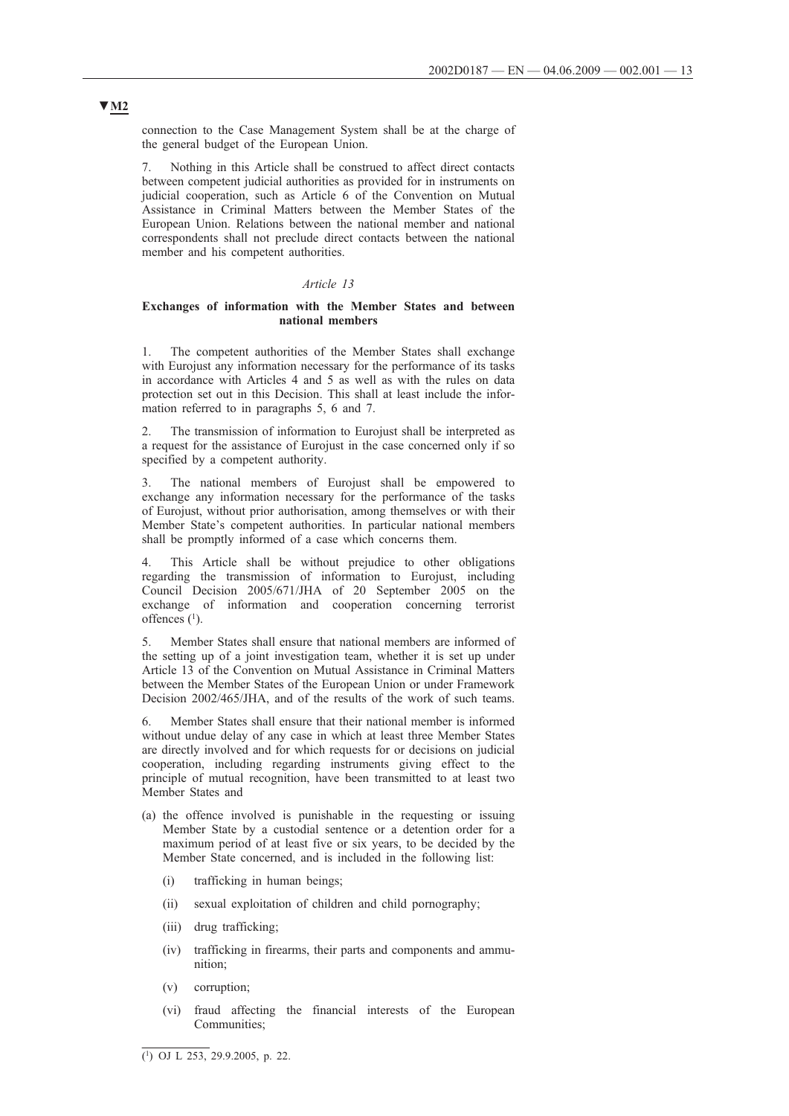connection to the Case Management System shall be at the charge of the general budget of the European Union.

7. Nothing in this Article shall be construed to affect direct contacts between competent judicial authorities as provided for in instruments on judicial cooperation, such as Article 6 of the Convention on Mutual Assistance in Criminal Matters between the Member States of the European Union. Relations between the national member and national correspondents shall not preclude direct contacts between the national member and his competent authorities.

### *Article 13*

### **Exchanges of information with the Member States and between national members**

1. The competent authorities of the Member States shall exchange with Eurojust any information necessary for the performance of its tasks in accordance with Articles 4 and 5 as well as with the rules on data protection set out in this Decision. This shall at least include the information referred to in paragraphs 5, 6 and 7.

2. The transmission of information to Eurojust shall be interpreted as a request for the assistance of Eurojust in the case concerned only if so specified by a competent authority.

The national members of Eurojust shall be empowered to exchange any information necessary for the performance of the tasks of Eurojust, without prior authorisation, among themselves or with their Member State's competent authorities. In particular national members shall be promptly informed of a case which concerns them.

This Article shall be without prejudice to other obligations regarding the transmission of information to Eurojust, including Council Decision 2005/671/JHA of 20 September 2005 on the exchange of information and cooperation concerning terrorist offences  $(1)$ .

5. Member States shall ensure that national members are informed of the setting up of a joint investigation team, whether it is set up under Article 13 of the Convention on Mutual Assistance in Criminal Matters between the Member States of the European Union or under Framework Decision 2002/465/JHA, and of the results of the work of such teams.

6. Member States shall ensure that their national member is informed without undue delay of any case in which at least three Member States are directly involved and for which requests for or decisions on judicial cooperation, including regarding instruments giving effect to the principle of mutual recognition, have been transmitted to at least two Member States and

- (a) the offence involved is punishable in the requesting or issuing Member State by a custodial sentence or a detention order for a maximum period of at least five or six years, to be decided by the Member State concerned, and is included in the following list:
	- (i) trafficking in human beings;
	- (ii) sexual exploitation of children and child pornography;
	- (iii) drug trafficking;
	- (iv) trafficking in firearms, their parts and components and ammunition;
	- (v) corruption;
	- (vi) fraud affecting the financial interests of the European Communities;

**<sup>▼</sup>M2**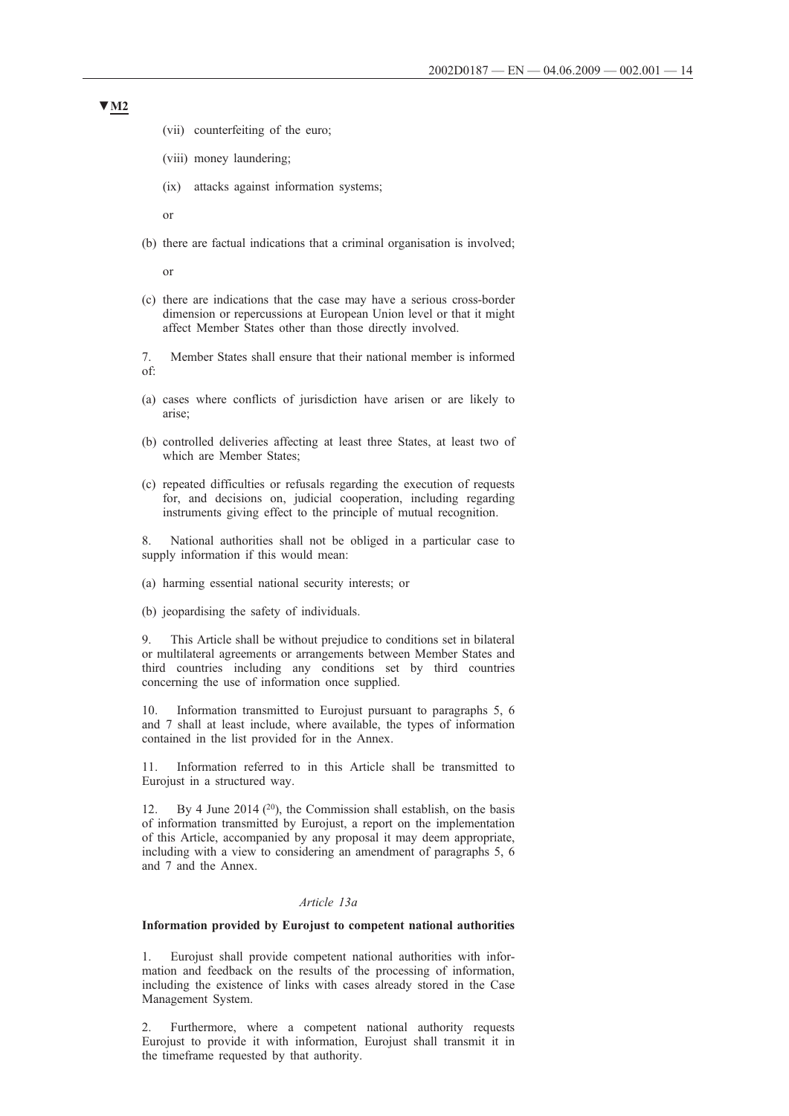- (vii) counterfeiting of the euro;
- (viii) money laundering;
- (ix) attacks against information systems;

or

(b) there are factual indications that a criminal organisation is involved;

or

(c) there are indications that the case may have a serious cross-border dimension or repercussions at European Union level or that it might affect Member States other than those directly involved.

7. Member States shall ensure that their national member is informed of:

- (a) cases where conflicts of jurisdiction have arisen or are likely to arise;
- (b) controlled deliveries affecting at least three States, at least two of which are Member States;
- (c) repeated difficulties or refusals regarding the execution of requests for, and decisions on, judicial cooperation, including regarding instruments giving effect to the principle of mutual recognition.

National authorities shall not be obliged in a particular case to supply information if this would mean:

(a) harming essential national security interests; or

(b) jeopardising the safety of individuals.

9. This Article shall be without prejudice to conditions set in bilateral or multilateral agreements or arrangements between Member States and third countries including any conditions set by third countries concerning the use of information once supplied.

10. Information transmitted to Eurojust pursuant to paragraphs 5, 6 and 7 shall at least include, where available, the types of information contained in the list provided for in the Annex.

11. Information referred to in this Article shall be transmitted to Eurojust in a structured way.

12. By 4 June 2014 (20), the Commission shall establish, on the basis of information transmitted by Eurojust, a report on the implementation of this Article, accompanied by any proposal it may deem appropriate, including with a view to considering an amendment of paragraphs 5, 6 and 7 and the Annex.

### *Article 13a*

### **Information provided by Eurojust to competent national authorities**

1. Eurojust shall provide competent national authorities with information and feedback on the results of the processing of information, including the existence of links with cases already stored in the Case Management System.

2. Furthermore, where a competent national authority requests Eurojust to provide it with information, Eurojust shall transmit it in the timeframe requested by that authority.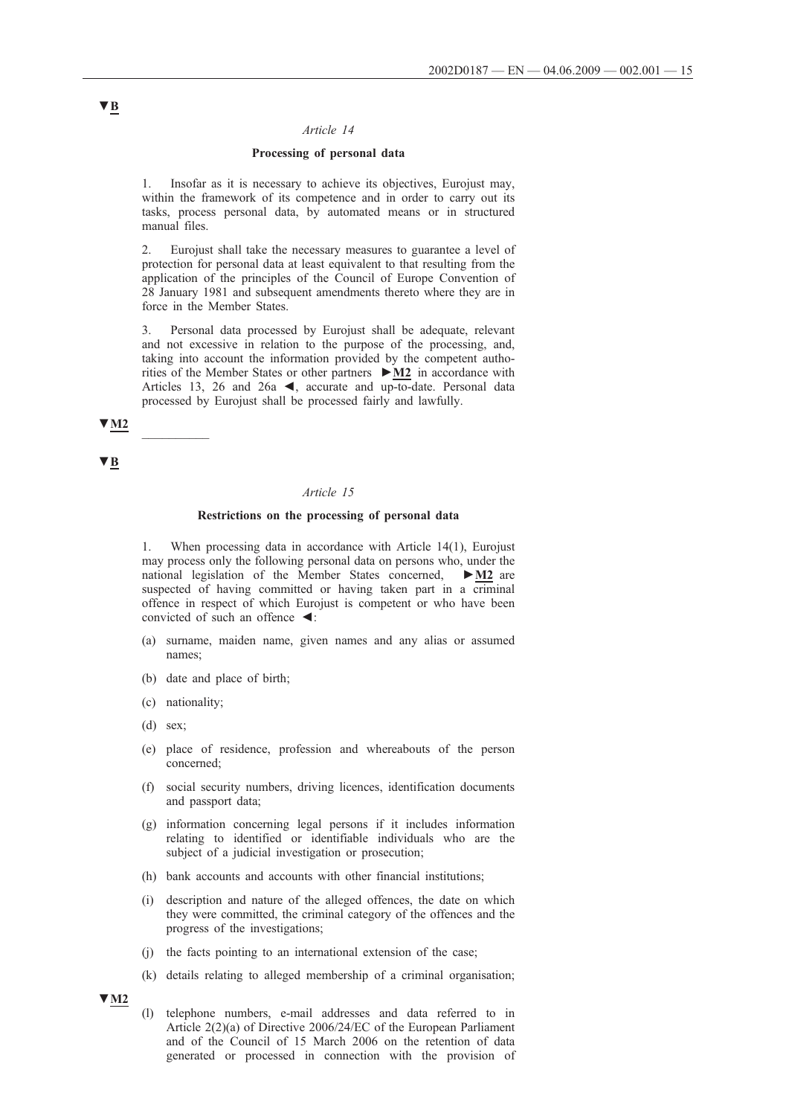# **Processing of personal data**

1. Insofar as it is necessary to achieve its objectives, Eurojust may, within the framework of its competence and in order to carry out its tasks, process personal data, by automated means or in structured manual files.

2. Eurojust shall take the necessary measures to guarantee a level of protection for personal data at least equivalent to that resulting from the application of the principles of the Council of Europe Convention of 28 January 1981 and subsequent amendments thereto where they are in force in the Member States.

3. Personal data processed by Eurojust shall be adequate, relevant and not excessive in relation to the purpose of the processing, and, taking into account the information provided by the competent authorities of the Member States or other partners **►M2** in accordance with Articles 13, 26 and 26a <, accurate and up-to-date. Personal data processed by Eurojust shall be processed fairly and lawfully.

### **▼M2** \_\_\_\_\_\_\_\_\_\_

**▼B**

# *Article 15*

### **Restrictions on the processing of personal data**

1. When processing data in accordance with Article 14(1), Eurojust may process only the following personal data on persons who, under the national legislation of the Member States concerned, **►M2** are suspected of having committed or having taken part in a criminal offence in respect of which Eurojust is competent or who have been convicted of such an offence ◄:

- (a) surname, maiden name, given names and any alias or assumed names;
- (b) date and place of birth;
- (c) nationality;
- (d) sex;
- (e) place of residence, profession and whereabouts of the person concerned;
- (f) social security numbers, driving licences, identification documents and passport data;
- (g) information concerning legal persons if it includes information relating to identified or identifiable individuals who are the subject of a judicial investigation or prosecution;
- (h) bank accounts and accounts with other financial institutions;
- (i) description and nature of the alleged offences, the date on which they were committed, the criminal category of the offences and the progress of the investigations;
- (j) the facts pointing to an international extension of the case;
- (k) details relating to alleged membership of a criminal organisation;
- 
- (l) telephone numbers, e-mail addresses and data referred to in Article 2(2)(a) of Directive 2006/24/EC of the European Parliament and of the Council of 15 March 2006 on the retention of data generated or processed in connection with the provision of

# **▼B**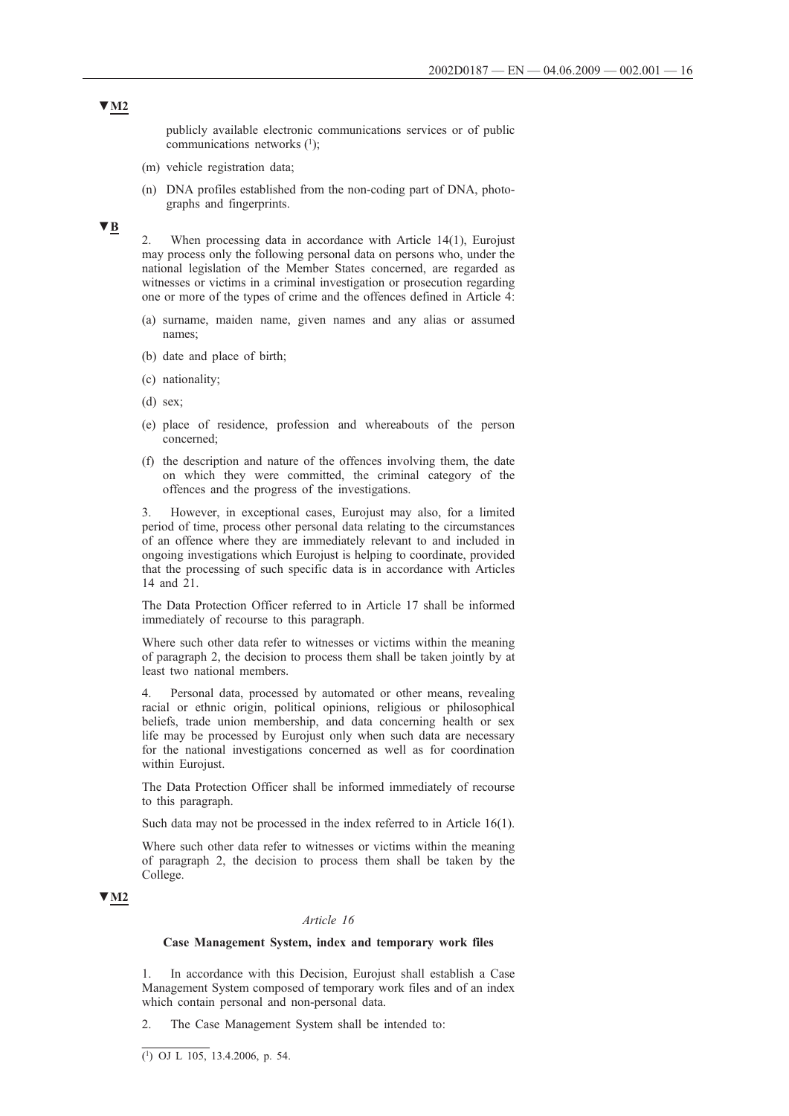publicly available electronic communications services or of public communications networks  $(1)$ ;

- (m) vehicle registration data;
- (n) DNA profiles established from the non-coding part of DNA, photographs and fingerprints.

# **▼B**

2. When processing data in accordance with Article 14(1), Eurojust may process only the following personal data on persons who, under the national legislation of the Member States concerned, are regarded as witnesses or victims in a criminal investigation or prosecution regarding one or more of the types of crime and the offences defined in Article 4:

- (a) surname, maiden name, given names and any alias or assumed names;
- (b) date and place of birth;
- (c) nationality;
- (d) sex;
- (e) place of residence, profession and whereabouts of the person concerned;
- (f) the description and nature of the offences involving them, the date on which they were committed, the criminal category of the offences and the progress of the investigations.

3. However, in exceptional cases, Eurojust may also, for a limited period of time, process other personal data relating to the circumstances of an offence where they are immediately relevant to and included in ongoing investigations which Eurojust is helping to coordinate, provided that the processing of such specific data is in accordance with Articles 14 and 21.

The Data Protection Officer referred to in Article 17 shall be informed immediately of recourse to this paragraph.

Where such other data refer to witnesses or victims within the meaning of paragraph 2, the decision to process them shall be taken jointly by at least two national members.

4. Personal data, processed by automated or other means, revealing racial or ethnic origin, political opinions, religious or philosophical beliefs, trade union membership, and data concerning health or sex life may be processed by Eurojust only when such data are necessary for the national investigations concerned as well as for coordination within Eurojust.

The Data Protection Officer shall be informed immediately of recourse to this paragraph.

Such data may not be processed in the index referred to in Article 16(1).

Where such other data refer to witnesses or victims within the meaning of paragraph 2, the decision to process them shall be taken by the College.

# **▼M2**

# *Article 16*

#### **Case Management System, index and temporary work files**

In accordance with this Decision, Eurojust shall establish a Case Management System composed of temporary work files and of an index which contain personal and non-personal data.

The Case Management System shall be intended to: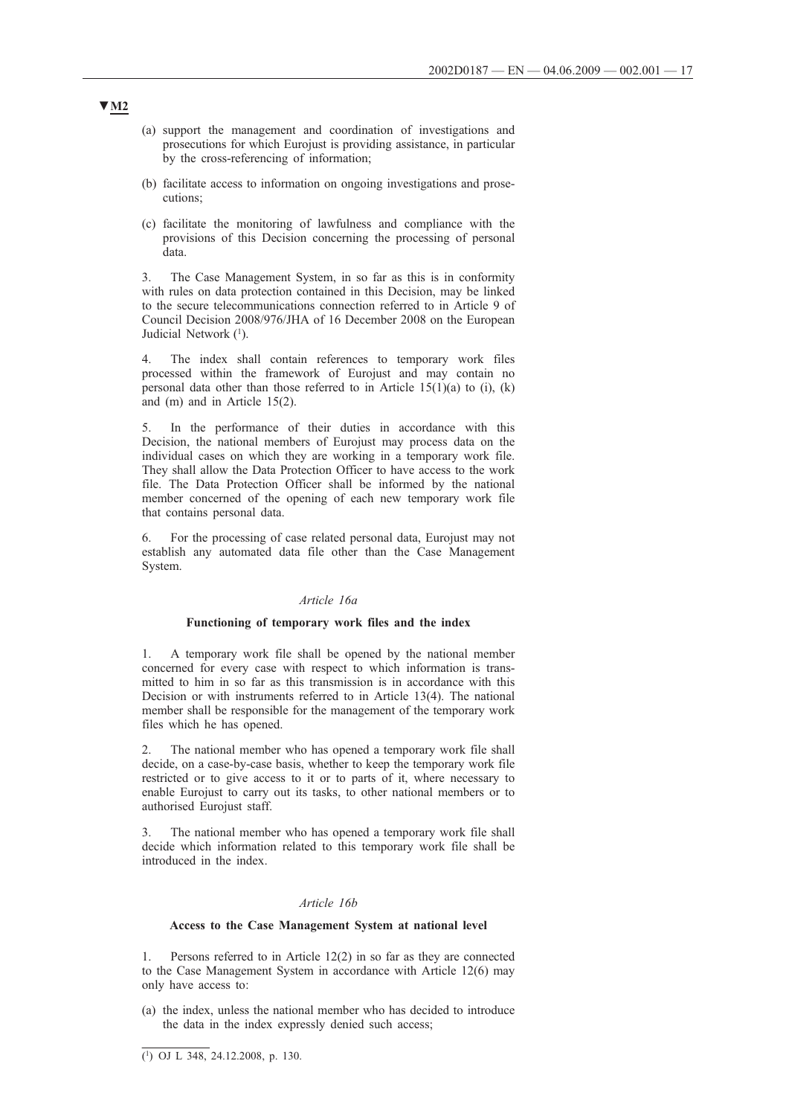- (a) support the management and coordination of investigations and prosecutions for which Eurojust is providing assistance, in particular by the cross-referencing of information;
- (b) facilitate access to information on ongoing investigations and prosecutions;
- (c) facilitate the monitoring of lawfulness and compliance with the provisions of this Decision concerning the processing of personal data.

3. The Case Management System, in so far as this is in conformity with rules on data protection contained in this Decision, may be linked to the secure telecommunications connection referred to in Article 9 of Council Decision 2008/976/JHA of 16 December 2008 on the European Judicial Network (1).

4. The index shall contain references to temporary work files processed within the framework of Eurojust and may contain no personal data other than those referred to in Article  $15(1)(a)$  to (i), (k) and (m) and in Article 15(2).

5. In the performance of their duties in accordance with this Decision, the national members of Eurojust may process data on the individual cases on which they are working in a temporary work file. They shall allow the Data Protection Officer to have access to the work file. The Data Protection Officer shall be informed by the national member concerned of the opening of each new temporary work file that contains personal data.

6. For the processing of case related personal data, Eurojust may not establish any automated data file other than the Case Management System.

### *Article 16a*

### **Functioning of temporary work files and the index**

1. A temporary work file shall be opened by the national member concerned for every case with respect to which information is transmitted to him in so far as this transmission is in accordance with this Decision or with instruments referred to in Article 13(4). The national member shall be responsible for the management of the temporary work files which he has opened.

2. The national member who has opened a temporary work file shall decide, on a case-by-case basis, whether to keep the temporary work file restricted or to give access to it or to parts of it, where necessary to enable Eurojust to carry out its tasks, to other national members or to authorised Eurojust staff.

The national member who has opened a temporary work file shall decide which information related to this temporary work file shall be introduced in the index.

### *Article 16b*

### **Access to the Case Management System at national level**

1. Persons referred to in Article 12(2) in so far as they are connected to the Case Management System in accordance with Article 12(6) may only have access to:

(a) the index, unless the national member who has decided to introduce the data in the index expressly denied such access;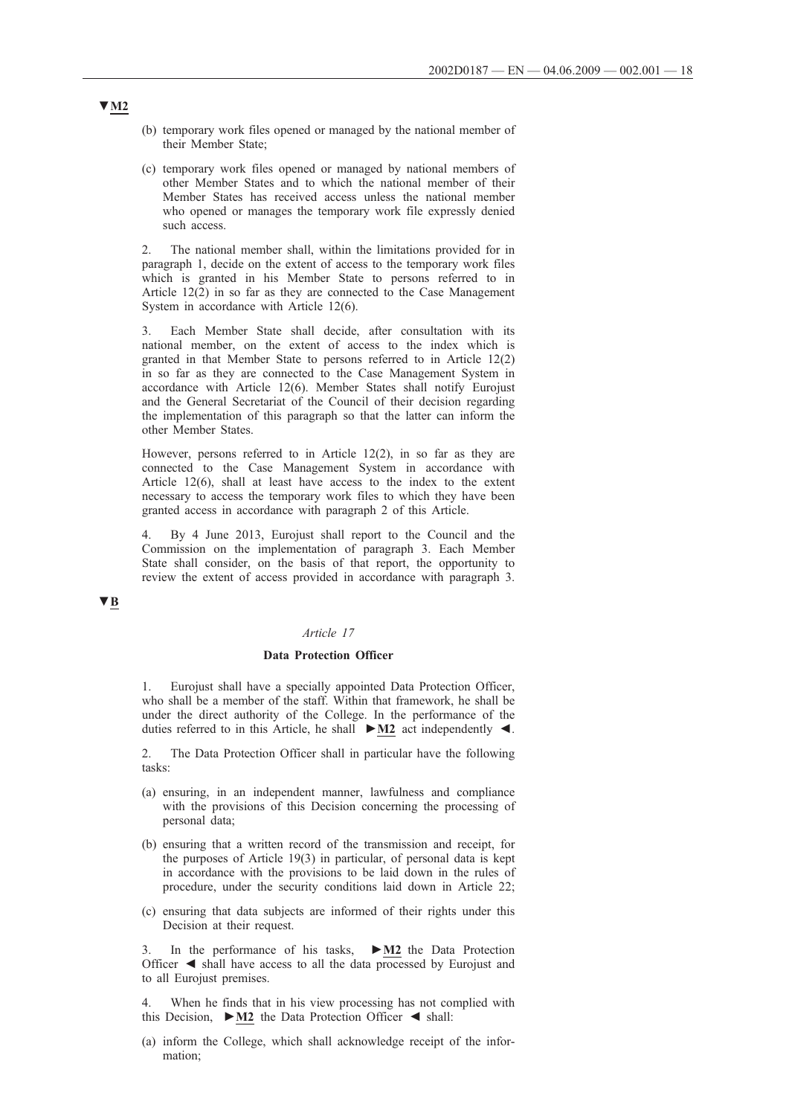- (b) temporary work files opened or managed by the national member of their Member State;
- (c) temporary work files opened or managed by national members of other Member States and to which the national member of their Member States has received access unless the national member who opened or manages the temporary work file expressly denied such access.

2. The national member shall, within the limitations provided for in paragraph 1, decide on the extent of access to the temporary work files which is granted in his Member State to persons referred to in Article 12(2) in so far as they are connected to the Case Management System in accordance with Article 12(6).

Each Member State shall decide, after consultation with its national member, on the extent of access to the index which is granted in that Member State to persons referred to in Article 12(2) in so far as they are connected to the Case Management System in accordance with Article 12(6). Member States shall notify Eurojust and the General Secretariat of the Council of their decision regarding the implementation of this paragraph so that the latter can inform the other Member States.

However, persons referred to in Article 12(2), in so far as they are connected to the Case Management System in accordance with Article 12(6), shall at least have access to the index to the extent necessary to access the temporary work files to which they have been granted access in accordance with paragraph 2 of this Article.

4. By 4 June 2013, Eurojust shall report to the Council and the Commission on the implementation of paragraph 3. Each Member State shall consider, on the basis of that report, the opportunity to review the extent of access provided in accordance with paragraph 3.

# **▼B**

### *Article 17*

### **Data Protection Officer**

1. Eurojust shall have a specially appointed Data Protection Officer, who shall be a member of the staff. Within that framework, he shall be under the direct authority of the College. In the performance of the duties referred to in this Article, he shall **►M2** act independently ◄.

2. The Data Protection Officer shall in particular have the following tasks:

- (a) ensuring, in an independent manner, lawfulness and compliance with the provisions of this Decision concerning the processing of personal data;
- (b) ensuring that a written record of the transmission and receipt, for the purposes of Article 19(3) in particular, of personal data is kept in accordance with the provisions to be laid down in the rules of procedure, under the security conditions laid down in Article 22;
- (c) ensuring that data subjects are informed of their rights under this Decision at their request.

3. In the performance of his tasks, **►M2** the Data Protection Officer  $\blacktriangleleft$  shall have access to all the data processed by Eurojust and to all Eurojust premises.

When he finds that in his view processing has not complied with this Decision, **►M2** the Data Protection Officer ◄ shall:

(a) inform the College, which shall acknowledge receipt of the information;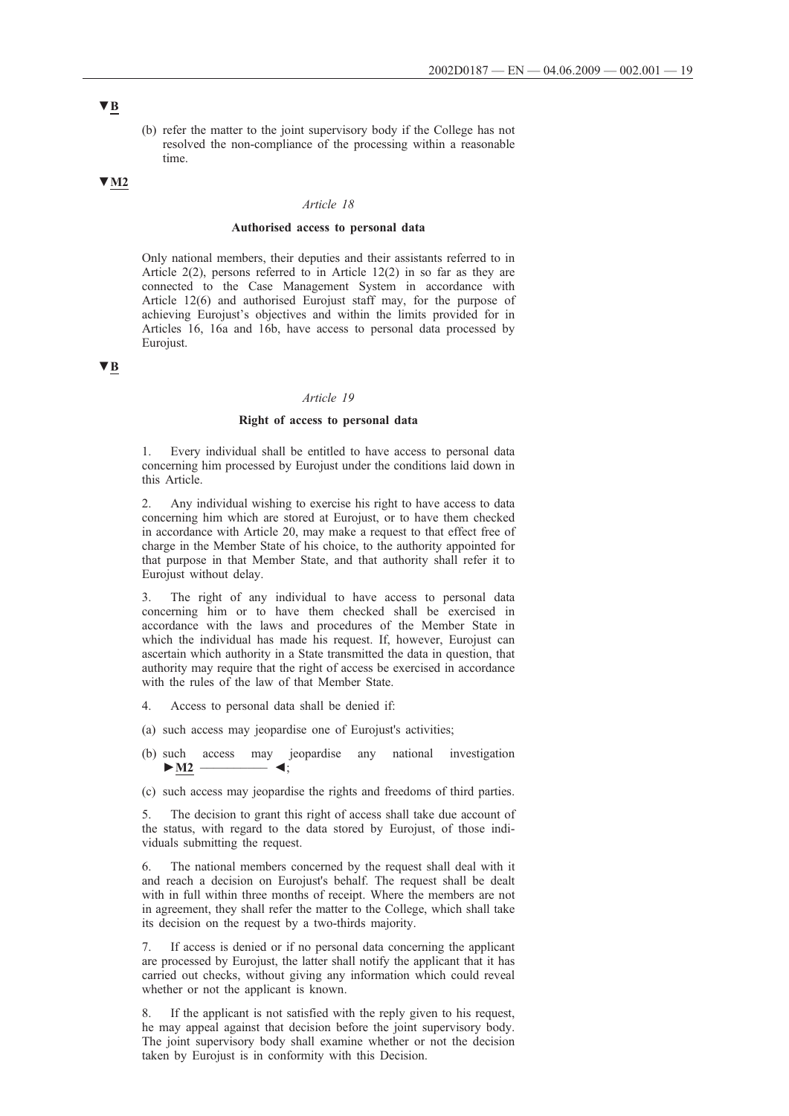(b) refer the matter to the joint supervisory body if the College has not resolved the non-compliance of the processing within a reasonable time.

# *Article 18* **Authorised access to personal data**

Only national members, their deputies and their assistants referred to in Article 2(2), persons referred to in Article 12(2) in so far as they are connected to the Case Management System in accordance with Article 12(6) and authorised Eurojust staff may, for the purpose of achieving Eurojust's objectives and within the limits provided for in Articles 16, 16a and 16b, have access to personal data processed by Eurojust.

### **▼B**

### *Article 19*

### **Right of access to personal data**

Every individual shall be entitled to have access to personal data concerning him processed by Eurojust under the conditions laid down in this Article.

2. Any individual wishing to exercise his right to have access to data concerning him which are stored at Eurojust, or to have them checked in accordance with Article 20, may make a request to that effect free of charge in the Member State of his choice, to the authority appointed for that purpose in that Member State, and that authority shall refer it to Eurojust without delay.

3. The right of any individual to have access to personal data concerning him or to have them checked shall be exercised in accordance with the laws and procedures of the Member State in which the individual has made his request. If, however, Eurojust can ascertain which authority in a State transmitted the data in question, that authority may require that the right of access be exercised in accordance with the rules of the law of that Member State.

- Access to personal data shall be denied if:
- (a) such access may jeopardise one of Eurojust's activities;
- (b) such access may jeopardise any national investigation  $\blacktriangleright$  M2  $\longrightarrow$   $\blacktriangleleft$ ;

(c) such access may jeopardise the rights and freedoms of third parties.

5. The decision to grant this right of access shall take due account of the status, with regard to the data stored by Eurojust, of those individuals submitting the request.

6. The national members concerned by the request shall deal with it and reach a decision on Eurojust's behalf. The request shall be dealt with in full within three months of receipt. Where the members are not in agreement, they shall refer the matter to the College, which shall take its decision on the request by a two-thirds majority.

7. If access is denied or if no personal data concerning the applicant are processed by Eurojust, the latter shall notify the applicant that it has carried out checks, without giving any information which could reveal whether or not the applicant is known.

8. If the applicant is not satisfied with the reply given to his request, he may appeal against that decision before the joint supervisory body. The joint supervisory body shall examine whether or not the decision taken by Eurojust is in conformity with this Decision.

# **▼B**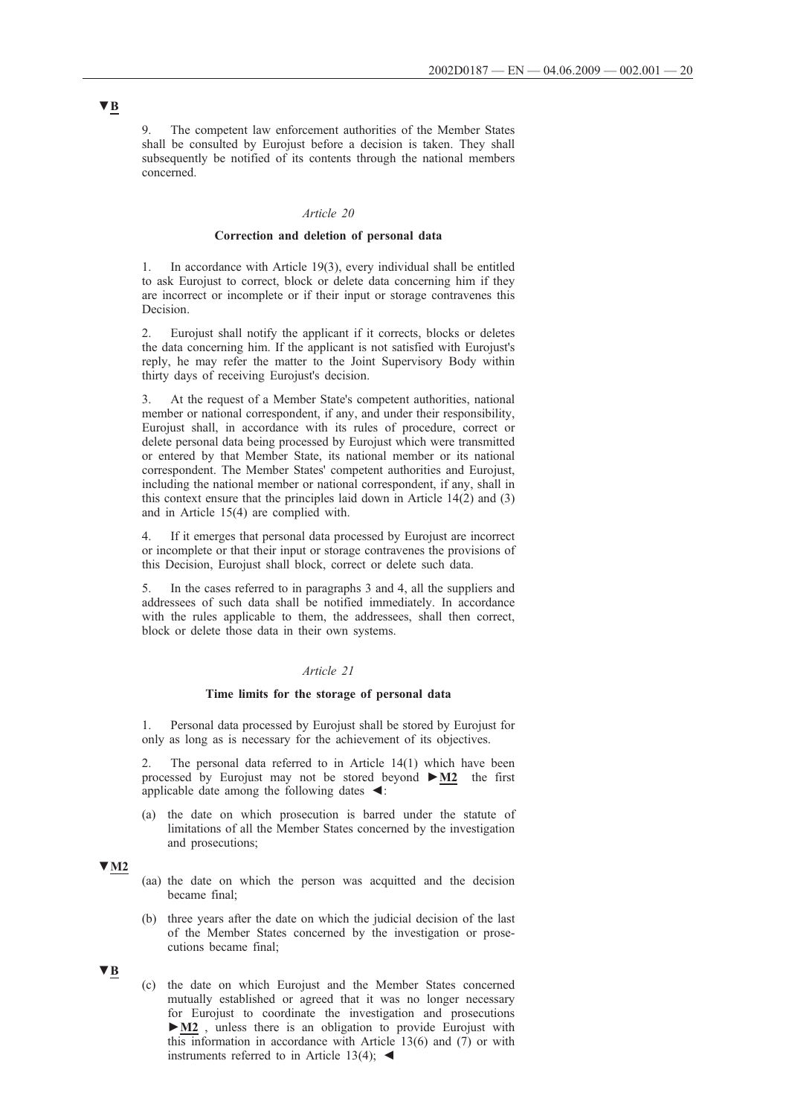9. The competent law enforcement authorities of the Member States shall be consulted by Eurojust before a decision is taken. They shall subsequently be notified of its contents through the national members concerned.

### *Article 20*

### **Correction and deletion of personal data**

1. In accordance with Article 19(3), every individual shall be entitled to ask Eurojust to correct, block or delete data concerning him if they are incorrect or incomplete or if their input or storage contravenes this Decision.

2. Eurojust shall notify the applicant if it corrects, blocks or deletes the data concerning him. If the applicant is not satisfied with Eurojust's reply, he may refer the matter to the Joint Supervisory Body within thirty days of receiving Eurojust's decision.

3. At the request of a Member State's competent authorities, national member or national correspondent, if any, and under their responsibility, Eurojust shall, in accordance with its rules of procedure, correct or delete personal data being processed by Eurojust which were transmitted or entered by that Member State, its national member or its national correspondent. The Member States' competent authorities and Eurojust, including the national member or national correspondent, if any, shall in this context ensure that the principles laid down in Article 14(2) and (3) and in Article 15(4) are complied with.

4. If it emerges that personal data processed by Eurojust are incorrect or incomplete or that their input or storage contravenes the provisions of this Decision, Eurojust shall block, correct or delete such data.

5. In the cases referred to in paragraphs 3 and 4, all the suppliers and addressees of such data shall be notified immediately. In accordance with the rules applicable to them, the addressees, shall then correct, block or delete those data in their own systems.

#### *Article 21*

#### **Time limits for the storage of personal data**

1. Personal data processed by Eurojust shall be stored by Eurojust for only as long as is necessary for the achievement of its objectives.

The personal data referred to in Article  $14(1)$  which have been processed by Eurojust may not be stored beyond **►M2** the first applicable date among the following dates ◄:

(a) the date on which prosecution is barred under the statute of limitations of all the Member States concerned by the investigation and prosecutions;

# **▼M2**

- (aa) the date on which the person was acquitted and the decision became final;
- (b) three years after the date on which the judicial decision of the last of the Member States concerned by the investigation or prosecutions became final;

### **▼B**

(c) the date on which Eurojust and the Member States concerned mutually established or agreed that it was no longer necessary for Eurojust to coordinate the investigation and prosecutions **►M2** , unless there is an obligation to provide Eurojust with this information in accordance with Article 13(6) and  $(7)$  or with instruments referred to in Article 13(4);  $\blacktriangleleft$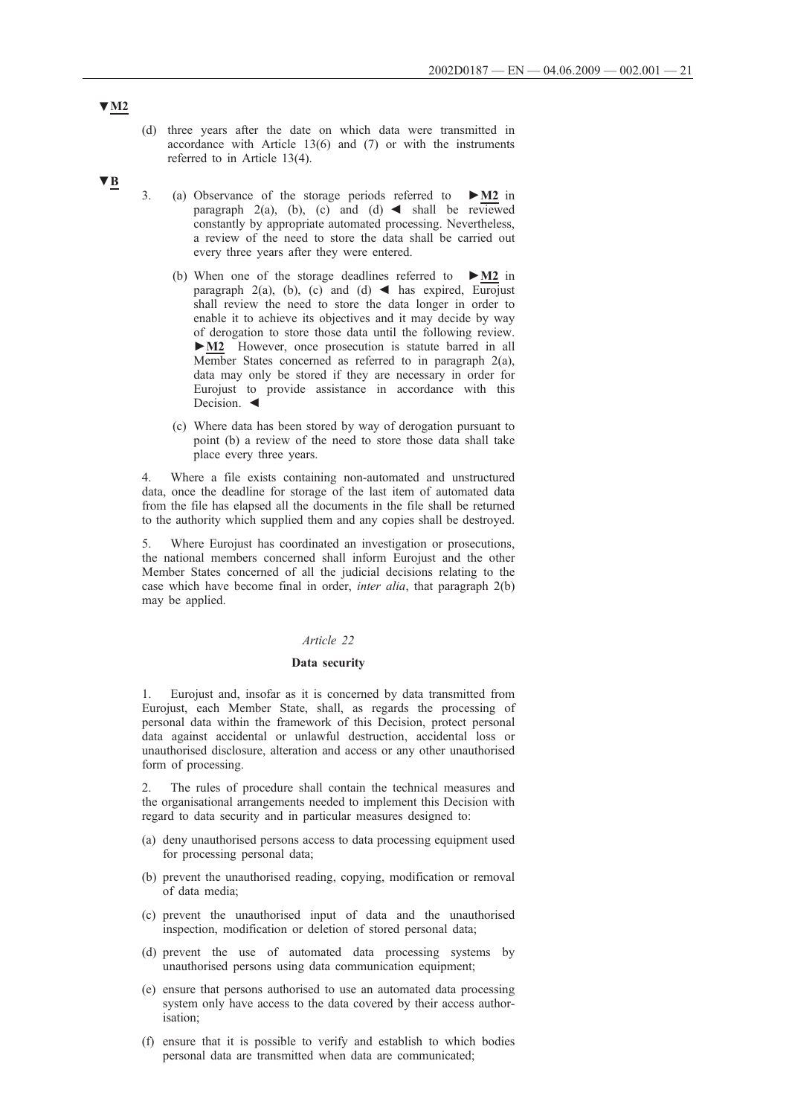- (d) three years after the date on which data were transmitted in accordance with Article 13(6) and (7) or with the instruments referred to in Article 13(4).
- 3. (a) Observance of the storage periods referred to **►M2** in paragraph 2(a), (b), (c) and (d)  $\blacktriangleleft$  shall be reviewed constantly by appropriate automated processing. Nevertheless, a review of the need to store the data shall be carried out every three years after they were entered.
	- (b) When one of the storage deadlines referred to **►M2** in paragraph 2(a), (b), (c) and (d)  $\blacktriangleleft$  has expired, Eurojust shall review the need to store the data longer in order to enable it to achieve its objectives and it may decide by way of derogation to store those data until the following review. **►M2** However, once prosecution is statute barred in all Member States concerned as referred to in paragraph 2(a), data may only be stored if they are necessary in order for Eurojust to provide assistance in accordance with this Decision. ◄
	- (c) Where data has been stored by way of derogation pursuant to point (b) a review of the need to store those data shall take place every three years.

4. Where a file exists containing non-automated and unstructured data, once the deadline for storage of the last item of automated data from the file has elapsed all the documents in the file shall be returned to the authority which supplied them and any copies shall be destroyed.

5. Where Eurojust has coordinated an investigation or prosecutions, the national members concerned shall inform Eurojust and the other Member States concerned of all the judicial decisions relating to the case which have become final in order, *inter alia*, that paragraph 2(b) may be applied.

### *Article 22*

### **Data security**

1. Eurojust and, insofar as it is concerned by data transmitted from Eurojust, each Member State, shall, as regards the processing of personal data within the framework of this Decision, protect personal data against accidental or unlawful destruction, accidental loss or unauthorised disclosure, alteration and access or any other unauthorised form of processing.

The rules of procedure shall contain the technical measures and the organisational arrangements needed to implement this Decision with regard to data security and in particular measures designed to:

- (a) deny unauthorised persons access to data processing equipment used for processing personal data;
- (b) prevent the unauthorised reading, copying, modification or removal of data media;
- (c) prevent the unauthorised input of data and the unauthorised inspection, modification or deletion of stored personal data;
- (d) prevent the use of automated data processing systems by unauthorised persons using data communication equipment;
- (e) ensure that persons authorised to use an automated data processing system only have access to the data covered by their access authorisation;
- (f) ensure that it is possible to verify and establish to which bodies personal data are transmitted when data are communicated;

# **▼M2**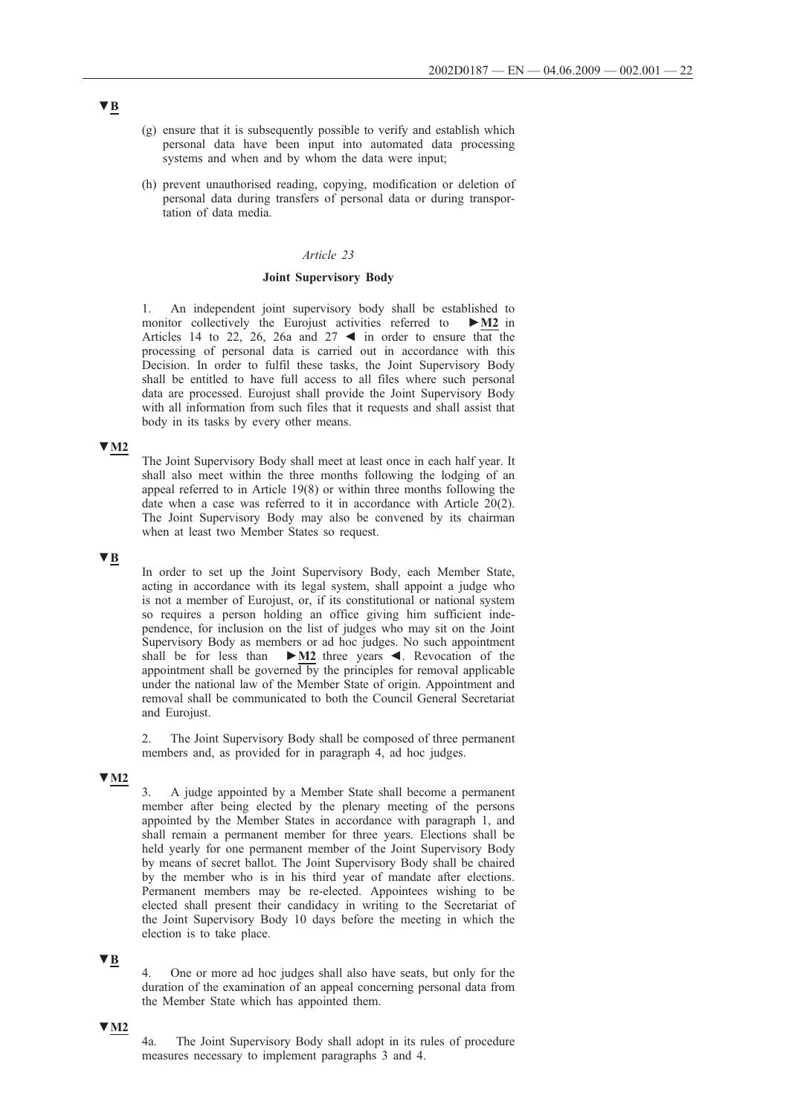- (g) ensure that it is subsequently possible to verify and establish which personal data have been input into automated data processing systems and when and by whom the data were input;
- (h) prevent unauthorised reading, copying, modification or deletion of personal data during transfers of personal data or during transportation of data media.

### **Joint Supervisory Body**

1. An independent joint supervisory body shall be established to monitor collectively the Eurojust activities referred to **►M2** in Articles 14 to 22, 26, 26a and 27  $\blacktriangleleft$  in order to ensure that the processing of personal data is carried out in accordance with this Decision. In order to fulfil these tasks, the Joint Supervisory Body shall be entitled to have full access to all files where such personal data are processed. Eurojust shall provide the Joint Supervisory Body with all information from such files that it requests and shall assist that body in its tasks by every other means.

### **▼M2**

The Joint Supervisory Body shall meet at least once in each half year. It shall also meet within the three months following the lodging of an appeal referred to in Article 19(8) or within three months following the date when a case was referred to it in accordance with Article 20(2). The Joint Supervisory Body may also be convened by its chairman when at least two Member States so request.

# **▼B**

In order to set up the Joint Supervisory Body, each Member State, acting in accordance with its legal system, shall appoint a judge who is not a member of Eurojust, or, if its constitutional or national system so requires a person holding an office giving him sufficient independence, for inclusion on the list of judges who may sit on the Joint Supervisory Body as members or ad hoc judges. No such appointment shall be for less than **►M2** three years ◄. Revocation of the appointment shall be governed by the principles for removal applicable under the national law of the Member State of origin. Appointment and removal shall be communicated to both the Council General Secretariat and Eurojust.

2. The Joint Supervisory Body shall be composed of three permanent members and, as provided for in paragraph 4, ad hoc judges.

### **▼M2**

3. A judge appointed by a Member State shall become a permanent member after being elected by the plenary meeting of the persons appointed by the Member States in accordance with paragraph 1, and shall remain a permanent member for three years. Elections shall be held yearly for one permanent member of the Joint Supervisory Body by means of secret ballot. The Joint Supervisory Body shall be chaired by the member who is in his third year of mandate after elections. Permanent members may be re-elected. Appointees wishing to be elected shall present their candidacy in writing to the Secretariat of the Joint Supervisory Body 10 days before the meeting in which the election is to take place.

### **▼B**

One or more ad hoc judges shall also have seats, but only for the duration of the examination of an appeal concerning personal data from the Member State which has appointed them.

### **▼M2**

4a. The Joint Supervisory Body shall adopt in its rules of procedure measures necessary to implement paragraphs 3 and 4.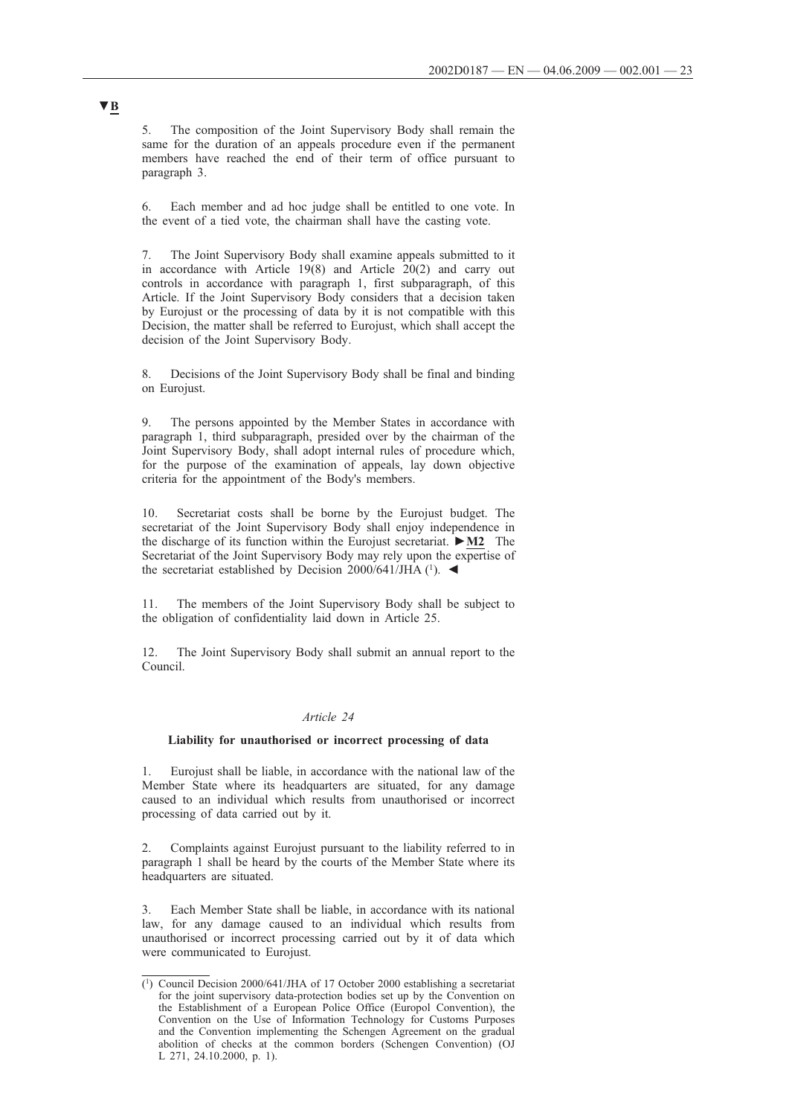5. The composition of the Joint Supervisory Body shall remain the same for the duration of an appeals procedure even if the permanent members have reached the end of their term of office pursuant to paragraph 3.

6. Each member and ad hoc judge shall be entitled to one vote. In the event of a tied vote, the chairman shall have the casting vote.

7. The Joint Supervisory Body shall examine appeals submitted to it in accordance with Article  $19(8)$  and Article  $20(2)$  and carry out controls in accordance with paragraph 1, first subparagraph, of this Article. If the Joint Supervisory Body considers that a decision taken by Eurojust or the processing of data by it is not compatible with this Decision, the matter shall be referred to Eurojust, which shall accept the decision of the Joint Supervisory Body.

8. Decisions of the Joint Supervisory Body shall be final and binding on Eurojust.

The persons appointed by the Member States in accordance with paragraph 1, third subparagraph, presided over by the chairman of the Joint Supervisory Body, shall adopt internal rules of procedure which, for the purpose of the examination of appeals, lay down objective criteria for the appointment of the Body's members.

10. Secretariat costs shall be borne by the Eurojust budget. The secretariat of the Joint Supervisory Body shall enjoy independence in the discharge of its function within the Eurojust secretariat. **►M2** The Secretariat of the Joint Supervisory Body may rely upon the expertise of the secretariat established by Decision  $2000/641/JHA$  (<sup>1</sup>).

11. The members of the Joint Supervisory Body shall be subject to the obligation of confidentiality laid down in Article 25.

12. The Joint Supervisory Body shall submit an annual report to the Council.

### *Article 24*

### **Liability for unauthorised or incorrect processing of data**

1. Eurojust shall be liable, in accordance with the national law of the Member State where its headquarters are situated, for any damage caused to an individual which results from unauthorised or incorrect processing of data carried out by it.

2. Complaints against Eurojust pursuant to the liability referred to in paragraph 1 shall be heard by the courts of the Member State where its headquarters are situated.

3. Each Member State shall be liable, in accordance with its national law, for any damage caused to an individual which results from unauthorised or incorrect processing carried out by it of data which were communicated to Eurojust.

<sup>(1)</sup> Council Decision 2000/641/JHA of 17 October 2000 establishing a secretariat for the joint supervisory data-protection bodies set up by the Convention on the Establishment of a European Police Office (Europol Convention), the Convention on the Use of Information Technology for Customs Purposes and the Convention implementing the Schengen Agreement on the gradual abolition of checks at the common borders (Schengen Convention) (OJ L 271, 24.10.2000, p. 1).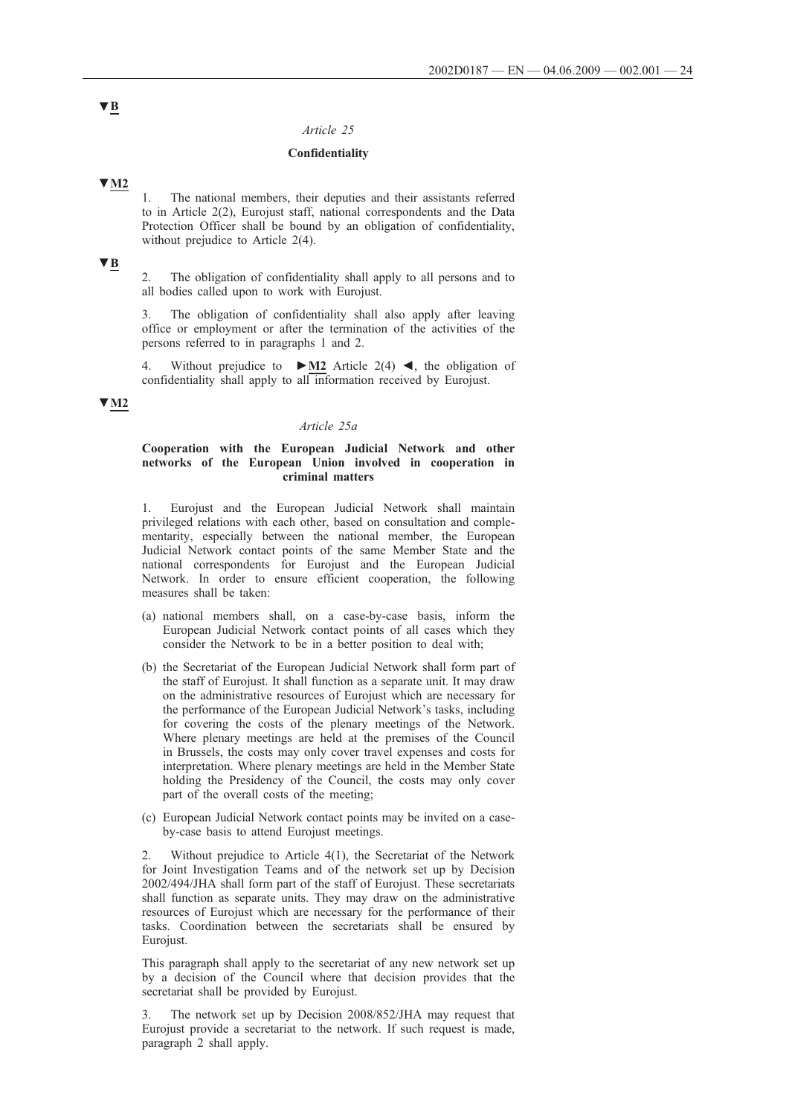# **Confidentiality**

# **▼M2**

1. The national members, their deputies and their assistants referred to in Article 2(2), Eurojust staff, national correspondents and the Data Protection Officer shall be bound by an obligation of confidentiality, without prejudice to Article 2(4).

### **▼B**

2. The obligation of confidentiality shall apply to all persons and to all bodies called upon to work with Eurojust.

3. The obligation of confidentiality shall also apply after leaving office or employment or after the termination of the activities of the persons referred to in paragraphs 1 and 2.

4. Without prejudice to **►M2** Article 2(4) ◄, the obligation of confidentiality shall apply to all information received by Eurojust.

# **▼M2**

# *Article 25a*

### **Cooperation with the European Judicial Network and other networks of the European Union involved in cooperation in criminal matters**

1. Eurojust and the European Judicial Network shall maintain privileged relations with each other, based on consultation and complementarity, especially between the national member, the European Judicial Network contact points of the same Member State and the national correspondents for Eurojust and the European Judicial Network. In order to ensure efficient cooperation, the following measures shall be taken:

- (a) national members shall, on a case-by-case basis, inform the European Judicial Network contact points of all cases which they consider the Network to be in a better position to deal with;
- (b) the Secretariat of the European Judicial Network shall form part of the staff of Eurojust. It shall function as a separate unit. It may draw on the administrative resources of Eurojust which are necessary for the performance of the European Judicial Network's tasks, including for covering the costs of the plenary meetings of the Network. Where plenary meetings are held at the premises of the Council in Brussels, the costs may only cover travel expenses and costs for interpretation. Where plenary meetings are held in the Member State holding the Presidency of the Council, the costs may only cover part of the overall costs of the meeting;
- (c) European Judicial Network contact points may be invited on a caseby-case basis to attend Eurojust meetings.

2. Without prejudice to Article 4(1), the Secretariat of the Network for Joint Investigation Teams and of the network set up by Decision 2002/494/JHA shall form part of the staff of Eurojust. These secretariats shall function as separate units. They may draw on the administrative resources of Eurojust which are necessary for the performance of their tasks. Coordination between the secretariats shall be ensured by Eurojust.

This paragraph shall apply to the secretariat of any new network set up by a decision of the Council where that decision provides that the secretariat shall be provided by Eurojust.

3. The network set up by Decision 2008/852/JHA may request that Eurojust provide a secretariat to the network. If such request is made, paragraph 2 shall apply.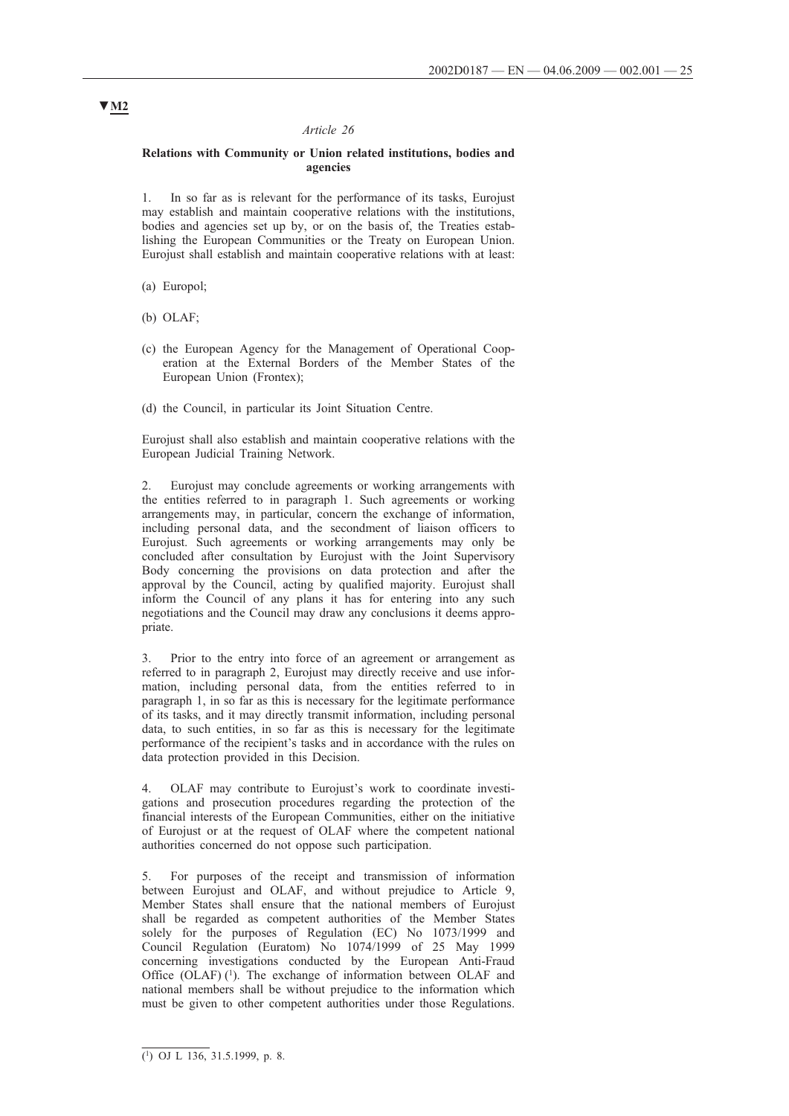### **Relations with Community or Union related institutions, bodies and agencies**

1. In so far as is relevant for the performance of its tasks, Eurojust may establish and maintain cooperative relations with the institutions, bodies and agencies set up by, or on the basis of, the Treaties establishing the European Communities or the Treaty on European Union. Eurojust shall establish and maintain cooperative relations with at least:

- (a) Europol;
- (b) OLAF;
- (c) the European Agency for the Management of Operational Cooperation at the External Borders of the Member States of the European Union (Frontex);
- (d) the Council, in particular its Joint Situation Centre.

Eurojust shall also establish and maintain cooperative relations with the European Judicial Training Network.

2. Eurojust may conclude agreements or working arrangements with the entities referred to in paragraph 1. Such agreements or working arrangements may, in particular, concern the exchange of information, including personal data, and the secondment of liaison officers to Eurojust. Such agreements or working arrangements may only be concluded after consultation by Eurojust with the Joint Supervisory Body concerning the provisions on data protection and after the approval by the Council, acting by qualified majority. Eurojust shall inform the Council of any plans it has for entering into any such negotiations and the Council may draw any conclusions it deems appropriate.

3. Prior to the entry into force of an agreement or arrangement as referred to in paragraph 2, Eurojust may directly receive and use information, including personal data, from the entities referred to in paragraph 1, in so far as this is necessary for the legitimate performance of its tasks, and it may directly transmit information, including personal data, to such entities, in so far as this is necessary for the legitimate performance of the recipient's tasks and in accordance with the rules on data protection provided in this Decision.

4. OLAF may contribute to Eurojust's work to coordinate investigations and prosecution procedures regarding the protection of the financial interests of the European Communities, either on the initiative of Eurojust or at the request of OLAF where the competent national authorities concerned do not oppose such participation.

5. For purposes of the receipt and transmission of information between Eurojust and OLAF, and without prejudice to Article 9, Member States shall ensure that the national members of Eurojust shall be regarded as competent authorities of the Member States solely for the purposes of Regulation (EC) No 1073/1999 and Council Regulation (Euratom) No 1074/1999 of 25 May 1999 concerning investigations conducted by the European Anti-Fraud Office  $(OLAF)$ <sup> $(1)$ </sup>. The exchange of information between OLAF and national members shall be without prejudice to the information which must be given to other competent authorities under those Regulations.

# **▼M2**

 $\overline{(^1)}$  OJ L 136, 31.5.1999, p. 8.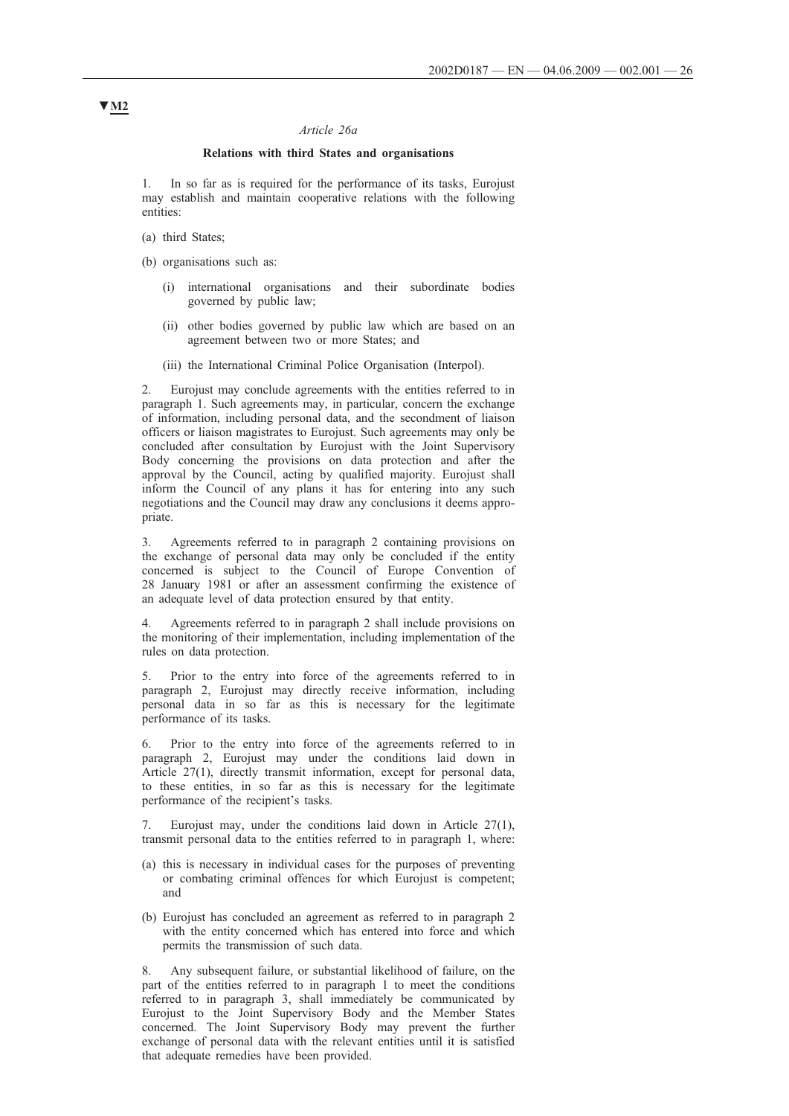### *Article 26a*

### **Relations with third States and organisations**

1. In so far as is required for the performance of its tasks, Eurojust may establish and maintain cooperative relations with the following entities:

- (a) third States;
- (b) organisations such as:
	- (i) international organisations and their subordinate bodies governed by public law;
	- (ii) other bodies governed by public law which are based on an agreement between two or more States; and
	- (iii) the International Criminal Police Organisation (Interpol).

2. Eurojust may conclude agreements with the entities referred to in paragraph 1. Such agreements may, in particular, concern the exchange of information, including personal data, and the secondment of liaison officers or liaison magistrates to Eurojust. Such agreements may only be concluded after consultation by Eurojust with the Joint Supervisory Body concerning the provisions on data protection and after the approval by the Council, acting by qualified majority. Eurojust shall inform the Council of any plans it has for entering into any such negotiations and the Council may draw any conclusions it deems appropriate.

3. Agreements referred to in paragraph 2 containing provisions on the exchange of personal data may only be concluded if the entity concerned is subject to the Council of Europe Convention of 28 January 1981 or after an assessment confirming the existence of an adequate level of data protection ensured by that entity.

Agreements referred to in paragraph 2 shall include provisions on the monitoring of their implementation, including implementation of the rules on data protection.

5. Prior to the entry into force of the agreements referred to in paragraph 2, Eurojust may directly receive information, including personal data in so far as this is necessary for the legitimate performance of its tasks.

6. Prior to the entry into force of the agreements referred to in paragraph 2, Eurojust may under the conditions laid down in Article 27(1), directly transmit information, except for personal data, to these entities, in so far as this is necessary for the legitimate performance of the recipient's tasks.

7. Eurojust may, under the conditions laid down in Article 27(1), transmit personal data to the entities referred to in paragraph 1, where:

- (a) this is necessary in individual cases for the purposes of preventing or combating criminal offences for which Eurojust is competent; and
- (b) Eurojust has concluded an agreement as referred to in paragraph 2 with the entity concerned which has entered into force and which permits the transmission of such data.

8. Any subsequent failure, or substantial likelihood of failure, on the part of the entities referred to in paragraph 1 to meet the conditions referred to in paragraph 3, shall immediately be communicated by Eurojust to the Joint Supervisory Body and the Member States concerned. The Joint Supervisory Body may prevent the further exchange of personal data with the relevant entities until it is satisfied that adequate remedies have been provided.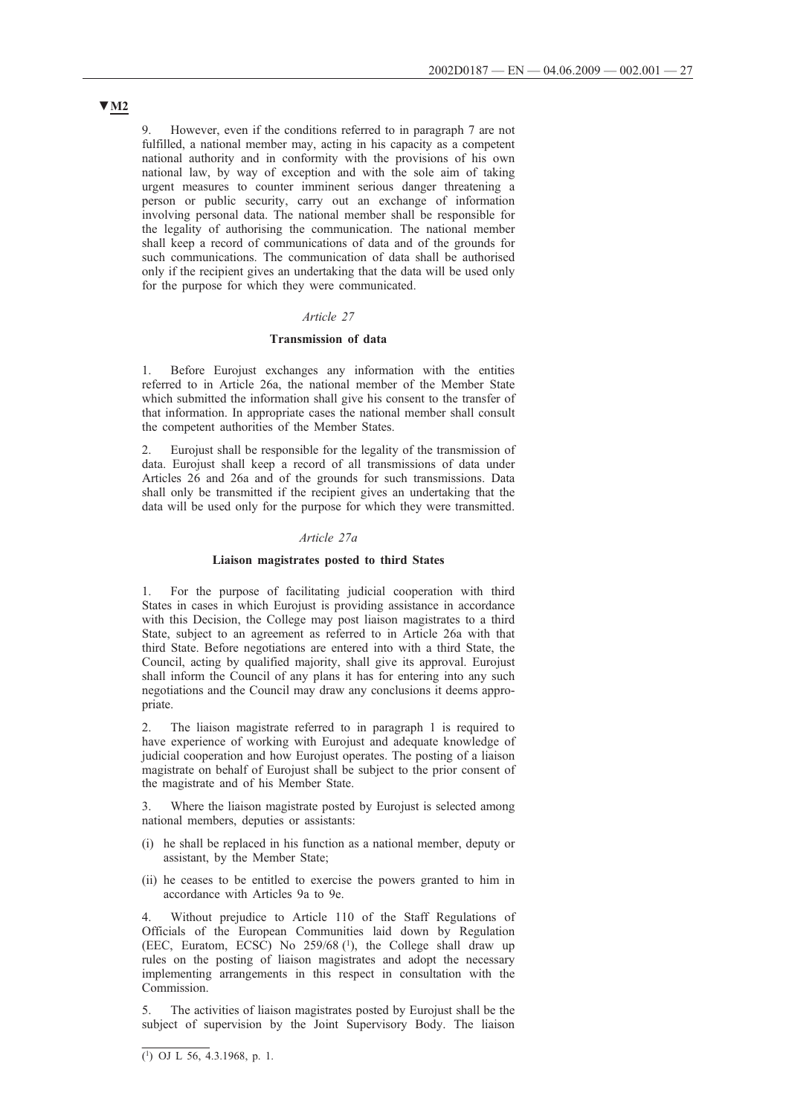9. However, even if the conditions referred to in paragraph 7 are not fulfilled, a national member may, acting in his capacity as a competent national authority and in conformity with the provisions of his own national law, by way of exception and with the sole aim of taking urgent measures to counter imminent serious danger threatening a person or public security, carry out an exchange of information involving personal data. The national member shall be responsible for the legality of authorising the communication. The national member shall keep a record of communications of data and of the grounds for such communications. The communication of data shall be authorised only if the recipient gives an undertaking that the data will be used only for the purpose for which they were communicated.

### *Article 27*

# **Transmission of data**

1. Before Eurojust exchanges any information with the entities referred to in Article 26a, the national member of the Member State which submitted the information shall give his consent to the transfer of that information. In appropriate cases the national member shall consult the competent authorities of the Member States.

2. Eurojust shall be responsible for the legality of the transmission of data. Eurojust shall keep a record of all transmissions of data under Articles 26 and 26a and of the grounds for such transmissions. Data shall only be transmitted if the recipient gives an undertaking that the data will be used only for the purpose for which they were transmitted.

#### *Article 27a*

### **Liaison magistrates posted to third States**

1. For the purpose of facilitating judicial cooperation with third States in cases in which Eurojust is providing assistance in accordance with this Decision, the College may post liaison magistrates to a third State, subject to an agreement as referred to in Article 26a with that third State. Before negotiations are entered into with a third State, the Council, acting by qualified majority, shall give its approval. Eurojust shall inform the Council of any plans it has for entering into any such negotiations and the Council may draw any conclusions it deems appropriate.

2. The liaison magistrate referred to in paragraph 1 is required to have experience of working with Eurojust and adequate knowledge of judicial cooperation and how Eurojust operates. The posting of a liaison magistrate on behalf of Eurojust shall be subject to the prior consent of the magistrate and of his Member State.

3. Where the liaison magistrate posted by Eurojust is selected among national members, deputies or assistants:

- (i) he shall be replaced in his function as a national member, deputy or assistant, by the Member State;
- (ii) he ceases to be entitled to exercise the powers granted to him in accordance with Articles 9a to 9e.

4. Without prejudice to Article 110 of the Staff Regulations of Officials of the European Communities laid down by Regulation (EEC, Euratom, ECSC) No 259/68 (1), the College shall draw up rules on the posting of liaison magistrates and adopt the necessary implementing arrangements in this respect in consultation with the Commission.

5. The activities of liaison magistrates posted by Eurojust shall be the subject of supervision by the Joint Supervisory Body. The liaison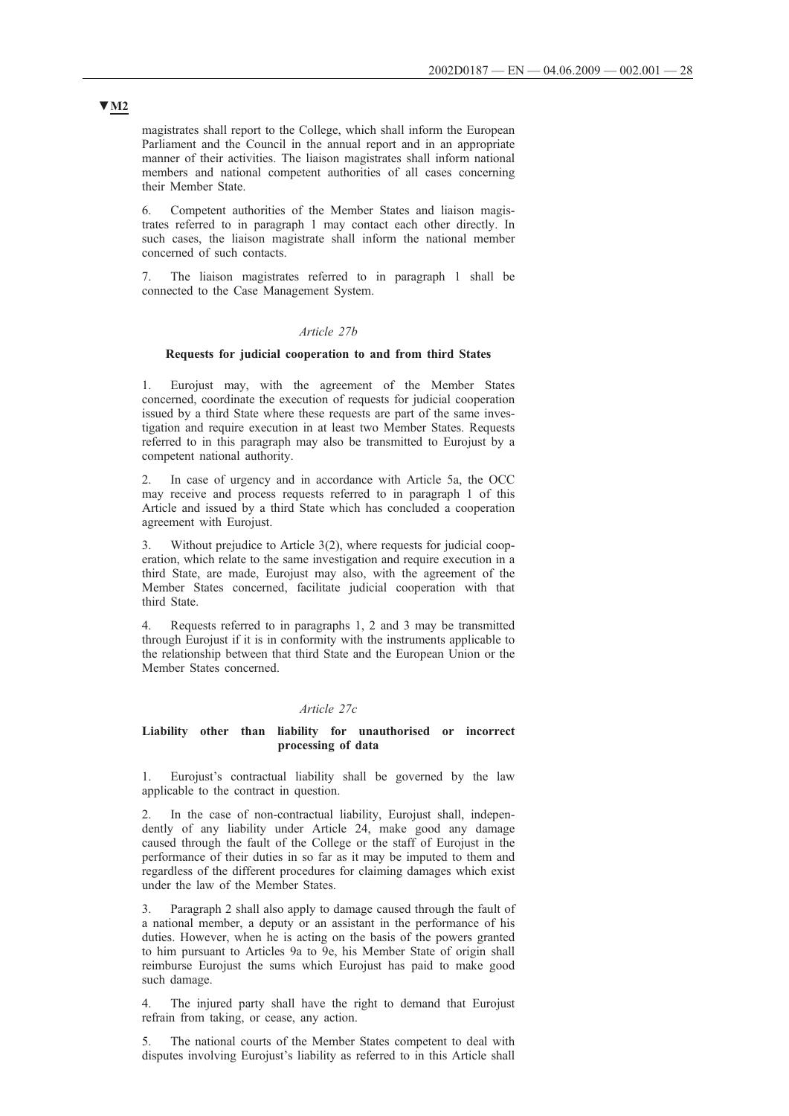magistrates shall report to the College, which shall inform the European Parliament and the Council in the annual report and in an appropriate manner of their activities. The liaison magistrates shall inform national members and national competent authorities of all cases concerning their Member State.

6. Competent authorities of the Member States and liaison magistrates referred to in paragraph 1 may contact each other directly. In such cases, the liaison magistrate shall inform the national member concerned of such contacts.

7. The liaison magistrates referred to in paragraph 1 shall be connected to the Case Management System.

### *Article 27b*

### **Requests for judicial cooperation to and from third States**

1. Eurojust may, with the agreement of the Member States concerned, coordinate the execution of requests for judicial cooperation issued by a third State where these requests are part of the same investigation and require execution in at least two Member States. Requests referred to in this paragraph may also be transmitted to Eurojust by a competent national authority.

2. In case of urgency and in accordance with Article 5a, the OCC may receive and process requests referred to in paragraph 1 of this Article and issued by a third State which has concluded a cooperation agreement with Eurojust.

3. Without prejudice to Article 3(2), where requests for judicial cooperation, which relate to the same investigation and require execution in a third State, are made, Eurojust may also, with the agreement of the Member States concerned, facilitate judicial cooperation with that third State.

4. Requests referred to in paragraphs 1, 2 and 3 may be transmitted through Eurojust if it is in conformity with the instruments applicable to the relationship between that third State and the European Union or the Member States concerned.

### *Article 27c*

### **Liability other than liability for unauthorised or incorrect processing of data**

1. Eurojust's contractual liability shall be governed by the law applicable to the contract in question.

2. In the case of non-contractual liability, Eurojust shall, independently of any liability under Article 24, make good any damage caused through the fault of the College or the staff of Eurojust in the performance of their duties in so far as it may be imputed to them and regardless of the different procedures for claiming damages which exist under the law of the Member States.

3. Paragraph 2 shall also apply to damage caused through the fault of a national member, a deputy or an assistant in the performance of his duties. However, when he is acting on the basis of the powers granted to him pursuant to Articles 9a to 9e, his Member State of origin shall reimburse Eurojust the sums which Eurojust has paid to make good such damage.

4. The injured party shall have the right to demand that Eurojust refrain from taking, or cease, any action.

5. The national courts of the Member States competent to deal with disputes involving Eurojust's liability as referred to in this Article shall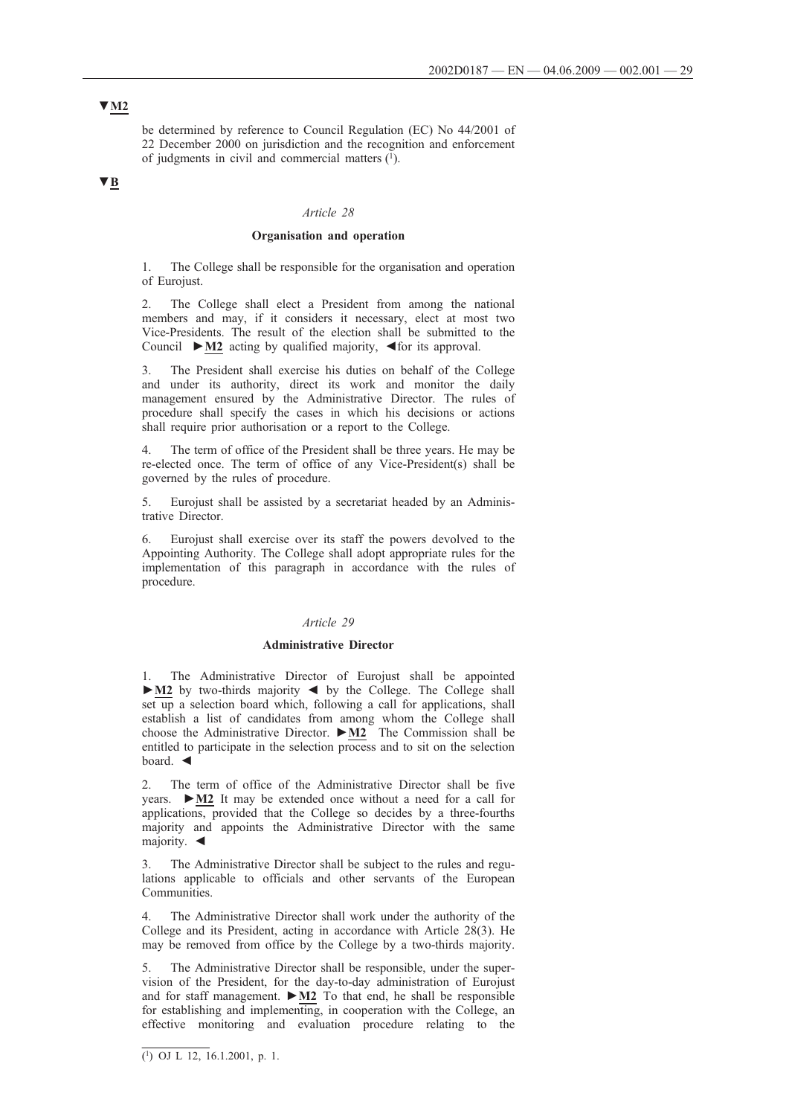**▼M2**

**▼B**

be determined by reference to Council Regulation (EC) No 44/2001 of 22 December 2000 on jurisdiction and the recognition and enforcement of judgments in civil and commercial matters (1).

#### *Article 28*

# **Organisation and operation**

1. The College shall be responsible for the organisation and operation of Eurojust.

2. The College shall elect a President from among the national members and may, if it considers it necessary, elect at most two Vice-Presidents. The result of the election shall be submitted to the Council **►M2** acting by qualified majority, ◄for its approval.

3. The President shall exercise his duties on behalf of the College and under its authority, direct its work and monitor the daily management ensured by the Administrative Director. The rules of procedure shall specify the cases in which his decisions or actions shall require prior authorisation or a report to the College.

The term of office of the President shall be three years. He may be re-elected once. The term of office of any Vice-President(s) shall be governed by the rules of procedure.

5. Eurojust shall be assisted by a secretariat headed by an Administrative Director.

6. Eurojust shall exercise over its staff the powers devolved to the Appointing Authority. The College shall adopt appropriate rules for the implementation of this paragraph in accordance with the rules of procedure.

### *Article 29*

# **Administrative Director**

The Administrative Director of Eurojust shall be appointed **►M2** by two-thirds majority ◄ by the College. The College shall set up a selection board which, following a call for applications, shall establish a list of candidates from among whom the College shall choose the Administrative Director. **►M2** The Commission shall be entitled to participate in the selection process and to sit on the selection board. ◄

2. The term of office of the Administrative Director shall be five years. **►M2** It may be extended once without a need for a call for applications, provided that the College so decides by a three-fourths majority and appoints the Administrative Director with the same majority. ◄

3. The Administrative Director shall be subject to the rules and regulations applicable to officials and other servants of the European Communities.

4. The Administrative Director shall work under the authority of the College and its President, acting in accordance with Article 28(3). He may be removed from office by the College by a two-thirds majority.

5. The Administrative Director shall be responsible, under the supervision of the President, for the day-to-day administration of Eurojust and for staff management. **►M2** To that end, he shall be responsible for establishing and implementing, in cooperation with the College, an effective monitoring and evaluation procedure relating to the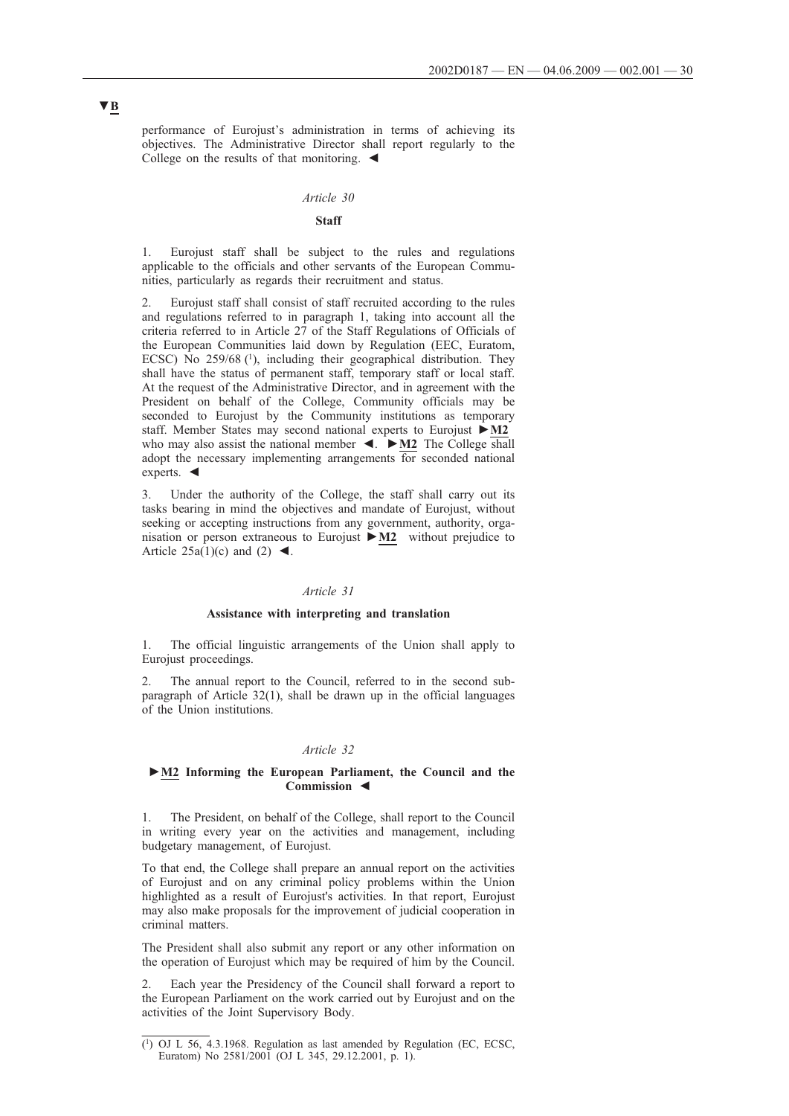performance of Eurojust's administration in terms of achieving its objectives. The Administrative Director shall report regularly to the College on the results of that monitoring. ◄

### *Article 30*

### **Staff**

Eurojust staff shall be subject to the rules and regulations applicable to the officials and other servants of the European Communities, particularly as regards their recruitment and status.

2. Eurojust staff shall consist of staff recruited according to the rules and regulations referred to in paragraph 1, taking into account all the criteria referred to in Article 27 of the Staff Regulations of Officials of the European Communities laid down by Regulation (EEC, Euratom, ECSC) No 259/68 (1), including their geographical distribution. They shall have the status of permanent staff, temporary staff or local staff. At the request of the Administrative Director, and in agreement with the President on behalf of the College, Community officials may be seconded to Eurojust by the Community institutions as temporary staff. Member States may second national experts to Eurojust **►M2** who may also assist the national member ◄. **►M2** The College shall adopt the necessary implementing arrangements for seconded national experts. ◄

Under the authority of the College, the staff shall carry out its tasks bearing in mind the objectives and mandate of Eurojust, without seeking or accepting instructions from any government, authority, organisation or person extraneous to Eurojust **►M2** without prejudice to Article  $25a(1)(c)$  and  $(2) \blacktriangleleft$ .

### *Article 31*

### **Assistance with interpreting and translation**

1. The official linguistic arrangements of the Union shall apply to Eurojust proceedings.

2. The annual report to the Council, referred to in the second subparagraph of Article 32(1), shall be drawn up in the official languages of the Union institutions.

#### *Article 32*

#### **►M2 Informing the European Parliament, the Council and the Commission ◄**

1. The President, on behalf of the College, shall report to the Council in writing every year on the activities and management, including budgetary management, of Eurojust.

To that end, the College shall prepare an annual report on the activities of Eurojust and on any criminal policy problems within the Union highlighted as a result of Eurojust's activities. In that report, Eurojust may also make proposals for the improvement of judicial cooperation in criminal matters.

The President shall also submit any report or any other information on the operation of Eurojust which may be required of him by the Council.

2. Each year the Presidency of the Council shall forward a report to the European Parliament on the work carried out by Eurojust and on the activities of the Joint Supervisory Body.

<sup>(1)</sup> OJ L 56, 4.3.1968. Regulation as last amended by Regulation (EC, ECSC, Euratom) No 2581/2001 (OJ L 345, 29.12.2001, p. 1).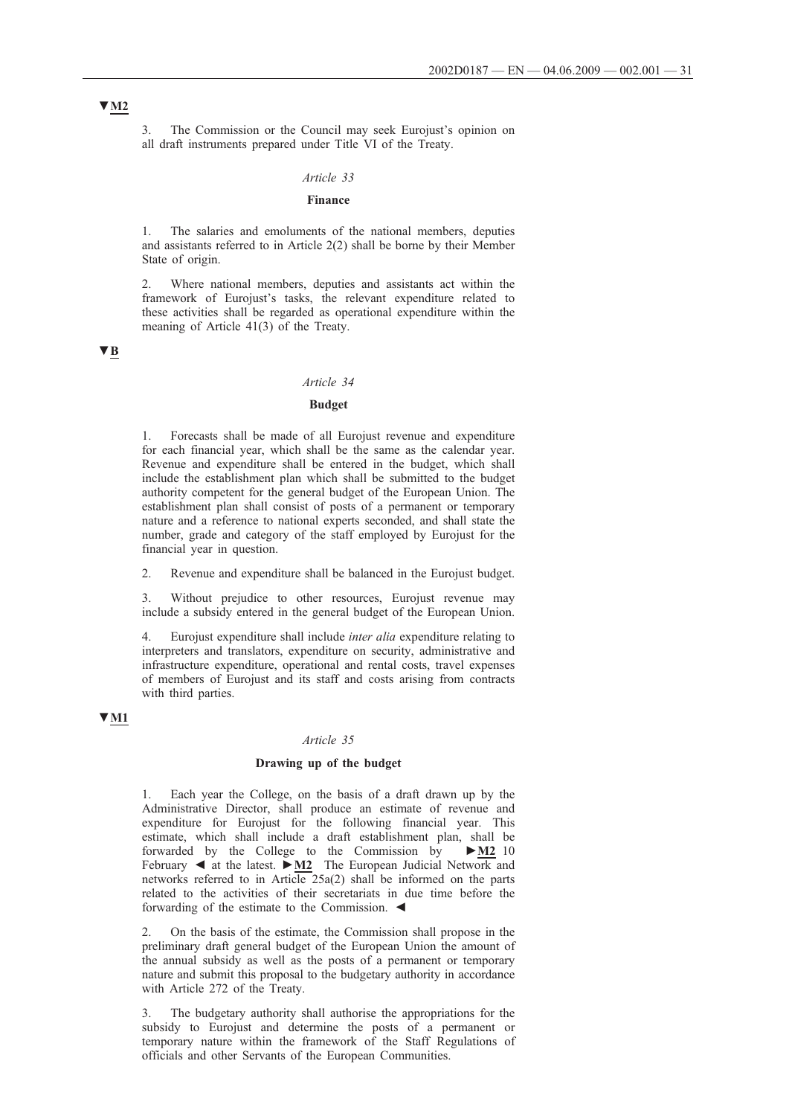3. The Commission or the Council may seek Eurojust's opinion on all draft instruments prepared under Title VI of the Treaty.

#### *Article 33*

### **Finance**

1. The salaries and emoluments of the national members, deputies and assistants referred to in Article 2(2) shall be borne by their Member State of origin.

2. Where national members, deputies and assistants act within the framework of Eurojust's tasks, the relevant expenditure related to these activities shall be regarded as operational expenditure within the meaning of Article 41(3) of the Treaty.

# **▼B**

# *Article 34*

# **Budget**

1. Forecasts shall be made of all Eurojust revenue and expenditure for each financial year, which shall be the same as the calendar year. Revenue and expenditure shall be entered in the budget, which shall include the establishment plan which shall be submitted to the budget authority competent for the general budget of the European Union. The establishment plan shall consist of posts of a permanent or temporary nature and a reference to national experts seconded, and shall state the number, grade and category of the staff employed by Eurojust for the financial year in question.

2. Revenue and expenditure shall be balanced in the Eurojust budget.

3. Without prejudice to other resources, Eurojust revenue may include a subsidy entered in the general budget of the European Union.

4. Eurojust expenditure shall include *inter alia* expenditure relating to interpreters and translators, expenditure on security, administrative and infrastructure expenditure, operational and rental costs, travel expenses of members of Eurojust and its staff and costs arising from contracts with third parties.

# **▼M1**

#### *Article 35*

### **Drawing up of the budget**

Each year the College, on the basis of a draft drawn up by the Administrative Director, shall produce an estimate of revenue and expenditure for Eurojust for the following financial year. This estimate, which shall include a draft establishment plan, shall be forwarded by the College to the Commission by **►M2** 10 February ◄ at the latest. **►M2** The European Judicial Network and networks referred to in Article 25a(2) shall be informed on the parts related to the activities of their secretariats in due time before the forwarding of the estimate to the Commission. ◄

2. On the basis of the estimate, the Commission shall propose in the preliminary draft general budget of the European Union the amount of the annual subsidy as well as the posts of a permanent or temporary nature and submit this proposal to the budgetary authority in accordance with Article 272 of the Treaty.

3. The budgetary authority shall authorise the appropriations for the subsidy to Eurojust and determine the posts of a permanent or temporary nature within the framework of the Staff Regulations of officials and other Servants of the European Communities.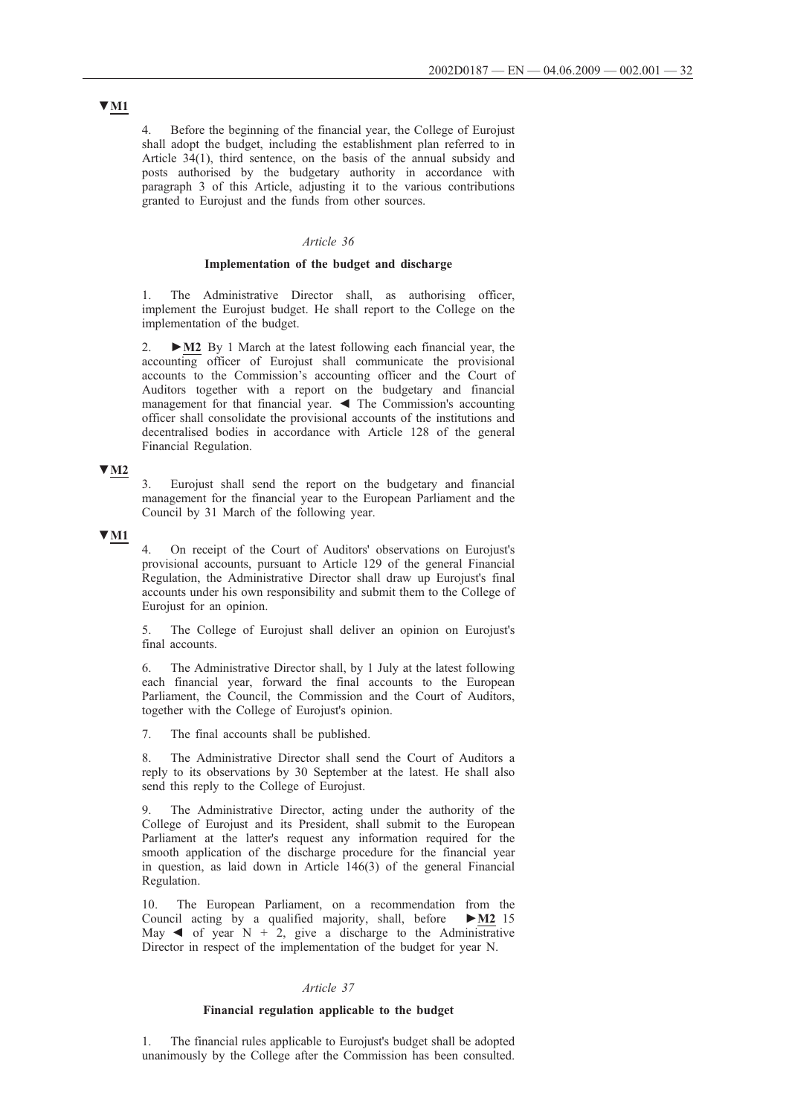4. Before the beginning of the financial year, the College of Eurojust shall adopt the budget, including the establishment plan referred to in Article 34(1), third sentence, on the basis of the annual subsidy and posts authorised by the budgetary authority in accordance with paragraph 3 of this Article, adjusting it to the various contributions granted to Eurojust and the funds from other sources.

### *Article 36*

### **Implementation of the budget and discharge**

1. The Administrative Director shall, as authorising officer, implement the Eurojust budget. He shall report to the College on the implementation of the budget.

2. **►M2** By 1 March at the latest following each financial year, the accounting officer of Eurojust shall communicate the provisional accounts to the Commission's accounting officer and the Court of Auditors together with a report on the budgetary and financial management for that financial year. ◄ The Commission's accounting officer shall consolidate the provisional accounts of the institutions and decentralised bodies in accordance with Article 128 of the general Financial Regulation.

# **▼M2**

3. Eurojust shall send the report on the budgetary and financial management for the financial year to the European Parliament and the Council by 31 March of the following year.

# **▼M1**

4. On receipt of the Court of Auditors' observations on Eurojust's provisional accounts, pursuant to Article 129 of the general Financial Regulation, the Administrative Director shall draw up Eurojust's final accounts under his own responsibility and submit them to the College of Eurojust for an opinion.

5. The College of Eurojust shall deliver an opinion on Eurojust's final accounts.

6. The Administrative Director shall, by 1 July at the latest following each financial year, forward the final accounts to the European Parliament, the Council, the Commission and the Court of Auditors, together with the College of Eurojust's opinion.

7. The final accounts shall be published.

8. The Administrative Director shall send the Court of Auditors a reply to its observations by 30 September at the latest. He shall also send this reply to the College of Eurojust.

9. The Administrative Director, acting under the authority of the College of Eurojust and its President, shall submit to the European Parliament at the latter's request any information required for the smooth application of the discharge procedure for the financial year in question, as laid down in Article 146(3) of the general Financial Regulation.

10. The European Parliament, on a recommendation from the Council acting by a qualified majority, shall, before **►M2** 15 May  $\blacktriangleleft$  of year N + 2, give a discharge to the Administrative Director in respect of the implementation of the budget for year N.

### *Article 37*

### **Financial regulation applicable to the budget**

1. The financial rules applicable to Eurojust's budget shall be adopted unanimously by the College after the Commission has been consulted.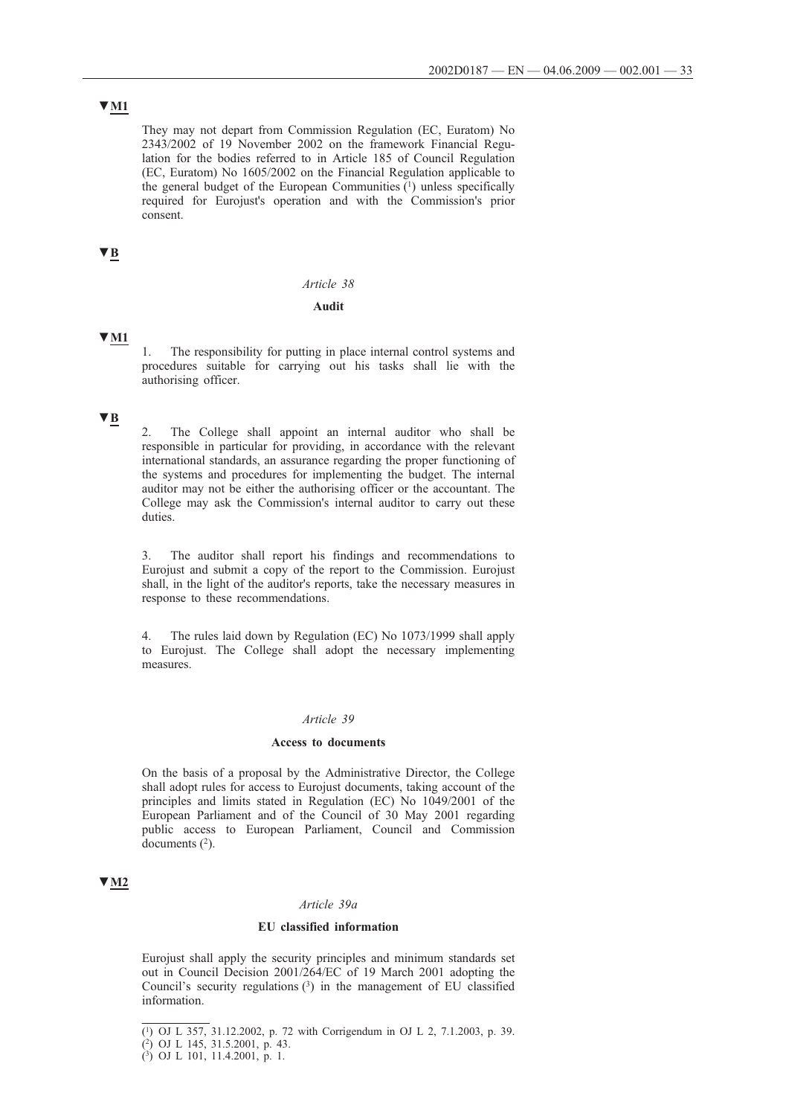# **▼M1**

They may not depart from Commission Regulation (EC, Euratom) No 2343/2002 of 19 November 2002 on the framework Financial Regulation for the bodies referred to in Article 185 of Council Regulation (EC, Euratom) No 1605/2002 on the Financial Regulation applicable to the general budget of the European Communities  $(1)$  unless specifically required for Eurojust's operation and with the Commission's prior consent.

# **▼B**

# *Article 38*

### **Audit**

### **▼M1**

1. The responsibility for putting in place internal control systems and procedures suitable for carrying out his tasks shall lie with the authorising officer.

# **▼B**

2. The College shall appoint an internal auditor who shall be responsible in particular for providing, in accordance with the relevant international standards, an assurance regarding the proper functioning of the systems and procedures for implementing the budget. The internal auditor may not be either the authorising officer or the accountant. The College may ask the Commission's internal auditor to carry out these duties.

3. The auditor shall report his findings and recommendations to Eurojust and submit a copy of the report to the Commission. Eurojust shall, in the light of the auditor's reports, take the necessary measures in response to these recommendations.

4. The rules laid down by Regulation (EC) No 1073/1999 shall apply to Eurojust. The College shall adopt the necessary implementing measures.

### *Article 39*

### **Access to documents**

On the basis of a proposal by the Administrative Director, the College shall adopt rules for access to Eurojust documents, taking account of the principles and limits stated in Regulation (EC) No 1049/2001 of the European Parliament and of the Council of 30 May 2001 regarding public access to European Parliament, Council and Commission documents  $(2)$ .

# **▼M2**

### *Article 39a*

### **EU classified information**

Eurojust shall apply the security principles and minimum standards set out in Council Decision 2001/264/EC of 19 March 2001 adopting the Council's security regulations  $(3)$  in the management of EU classified information.

<sup>(1)</sup> OJ L 357, 31.12.2002, p. 72 with Corrigendum in OJ L 2, 7.1.2003, p. 39.

<sup>(2)</sup> OJ L 145, 31.5.2001, p. 43.

<sup>(3)</sup> OJ L 101, 11.4.2001, p. 1.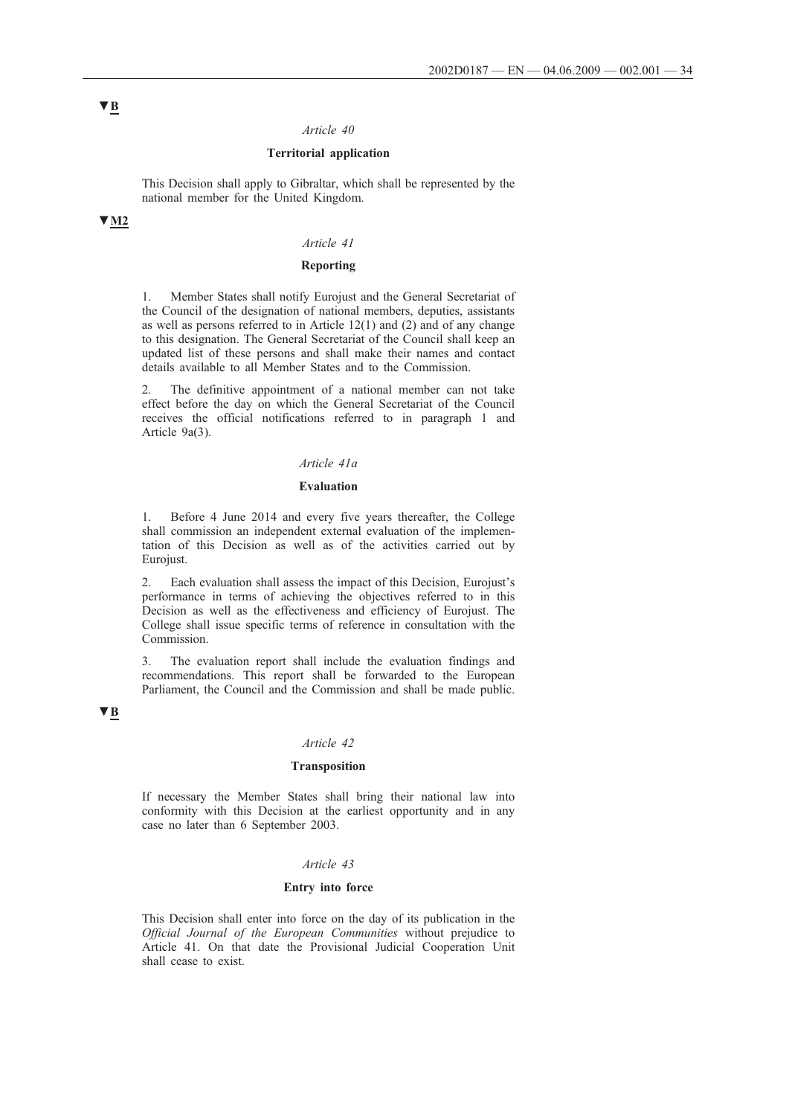# **Territorial application**

This Decision shall apply to Gibraltar, which shall be represented by the national member for the United Kingdom.

# **▼M2**

# *Article 41*

# **Reporting**

1. Member States shall notify Eurojust and the General Secretariat of the Council of the designation of national members, deputies, assistants as well as persons referred to in Article 12(1) and (2) and of any change to this designation. The General Secretariat of the Council shall keep an updated list of these persons and shall make their names and contact details available to all Member States and to the Commission.

2. The definitive appointment of a national member can not take effect before the day on which the General Secretariat of the Council receives the official notifications referred to in paragraph 1 and Article 9a(3).

#### *Article 41a*

### **Evaluation**

1. Before 4 June 2014 and every five years thereafter, the College shall commission an independent external evaluation of the implementation of this Decision as well as of the activities carried out by Eurojust.

2. Each evaluation shall assess the impact of this Decision, Eurojust's performance in terms of achieving the objectives referred to in this Decision as well as the effectiveness and efficiency of Eurojust. The College shall issue specific terms of reference in consultation with the Commission.

3. The evaluation report shall include the evaluation findings and recommendations. This report shall be forwarded to the European Parliament, the Council and the Commission and shall be made public.

### **▼B**

#### *Article 42*

### **Transposition**

If necessary the Member States shall bring their national law into conformity with this Decision at the earliest opportunity and in any case no later than 6 September 2003.

# *Article 43*

#### **Entry into force**

This Decision shall enter into force on the day of its publication in the *Official Journal of the European Communities* without prejudice to Article 41. On that date the Provisional Judicial Cooperation Unit shall cease to exist.